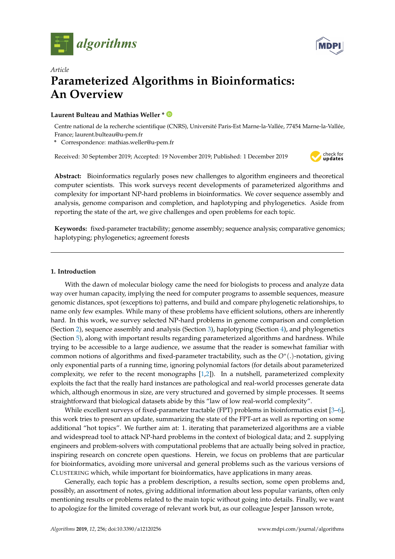



# *Article* **Parameterized Algorithms in Bioinformatics: An Overview**

# **Laurent Bulteau and Mathias Weller \***

Centre national de la recherche scientifique (CNRS), Université Paris-Est Marne-la-Vallée, 77454 Marne-la-Vallée, France; laurent.bulteau@u-pem.fr

**\*** Correspondence: mathias.weller@u-pem.fr

Received: 30 September 2019; Accepted: 19 November 2019; Published: 1 December 2019



**Abstract:** Bioinformatics regularly poses new challenges to algorithm engineers and theoretical computer scientists. This work surveys recent developments of parameterized algorithms and complexity for important NP-hard problems in bioinformatics. We cover sequence assembly and analysis, genome comparison and completion, and haplotyping and phylogenetics. Aside from reporting the state of the art, we give challenges and open problems for each topic.

**Keywords:** fixed-parameter tractability; genome assembly; sequence analysis; comparative genomics; haplotyping; phylogenetics; agreement forests

### **1. Introduction**

With the dawn of molecular biology came the need for biologists to process and analyze data way over human capacity, implying the need for computer programs to assemble sequences, measure genomic distances, spot (exceptions to) patterns, and build and compare phylogenetic relationships, to name only few examples. While many of these problems have efficient solutions, others are inherently hard. In this work, we survey selected NP-hard problems in genome comparison and completion (Section [2\)](#page-1-0), sequence assembly and analysis (Section [3\)](#page-5-0), haplotyping (Section [4\)](#page-9-0), and phylogenetics (Section [5\)](#page-13-0), along with important results regarding parameterized algorithms and hardness. While trying to be accessible to a large audience, we assume that the reader is somewhat familiar with common notions of algorithms and fixed-parameter tractability, such as the *O*<sup>∗</sup> (.)-notation, giving only exponential parts of a running time, ignoring polynomial factors (for details about parameterized complexity, we refer to the recent monographs [\[1](#page-21-0)[,2\]](#page-21-1)). In a nutshell, parameterized complexity exploits the fact that the really hard instances are pathological and real-world processes generate data which, although enormous in size, are very structured and governed by simple processes. It seems straightforward that biological datasets abide by this "law of low real-world complexity".

While excellent surveys of fixed-parameter tractable (FPT) problems in bioinformatics exist [\[3](#page-21-2)[–6\]](#page-22-0), this work tries to present an update, summarizing the state of the FPT-art as well as reporting on some additional "hot topics". We further aim at: 1. iterating that parameterized algorithms are a viable and widespread tool to attack NP-hard problems in the context of biological data; and 2. supplying engineers and problem-solvers with computational problems that are actually being solved in practice, inspiring research on concrete open questions. Herein, we focus on problems that are particular for bioinformatics, avoiding more universal and general problems such as the various versions of CLUSTERING which, while important for bioinformatics, have applications in many areas.

Generally, each topic has a problem description, a results section, some open problems and, possibly, an assortment of notes, giving additional information about less popular variants, often only mentioning results or problems related to the main topic without going into details. Finally, we want to apologize for the limited coverage of relevant work but, as our colleague Jesper Jansson wrote,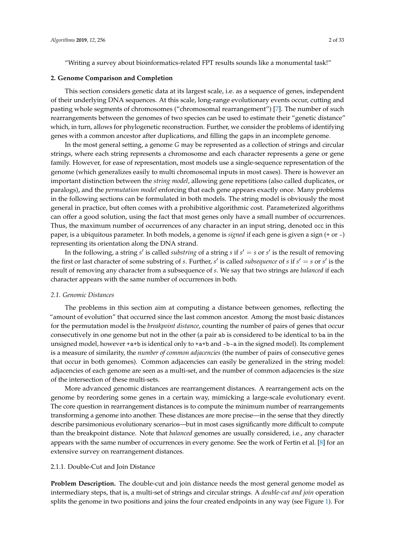"Writing a survey about bioinformatics-related FPT results sounds like a monumental task!"

#### <span id="page-1-0"></span>**2. Genome Comparison and Completion**

This section considers genetic data at its largest scale, i.e. as a sequence of genes, independent of their underlying DNA sequences. At this scale, long-range evolutionary events occur, cutting and pasting whole segments of chromosomes ("chromosomal rearrangement") [\[7\]](#page-22-1). The number of such rearrangements between the genomes of two species can be used to estimate their "genetic distance" which, in turn, allows for phylogenetic reconstruction. Further, we consider the problems of identifying genes with a common ancestor after duplications, and filling the gaps in an incomplete genome.

In the most general setting, a genome *G* may be represented as a collection of strings and circular strings, where each string represents a chromosome and each character represents a gene or gene family. However, for ease of representation, most models use a single-sequence representation of the genome (which generalizes easily to multi chromosomal inputs in most cases). There is however an important distinction between the *string model*, allowing gene repetitions (also called duplicates, or paralogs), and the *permutation model* enforcing that each gene appears exactly once. Many problems in the following sections can be formulated in both models. The string model is obviously the most general in practice, but often comes with a prohibitive algorithmic cost. Parameterized algorithms can offer a good solution, using the fact that most genes only have a small number of occurrences. Thus, the maximum number of occurrences of any character in an input string, denoted occ in this paper, is a ubiquitous parameter. In both models, a genome is *signed* if each gene is given a sign (+ or -) representing its orientation along the DNA strand.

In the following, a string  $s'$  is called *substring* of a string  $s$  if  $s' = s$  or  $s'$  is the result of removing the first or last character of some substring of *s*. Further, *s'* is called *subsequence* of *s* if  $s' = s$  or  $s'$  is the result of removing any character from a subsequence of *s*. We say that two strings are *balanced* if each character appears with the same number of occurrences in both.

### *2.1. Genomic Distances*

The problems in this section aim at computing a distance between genomes, reflecting the "amount of evolution" that occurred since the last common ancestor. Among the most basic distances for the permutation model is the *breakpoint distance*, counting the number of pairs of genes that occur consecutively in one genome but not in the other (a pair ab is considered to be identical to ba in the unsigned model, however +a+b is identical only to +a+b and -b-a in the signed model). Its complement is a measure of similarity, the *number of common adjacencies* (the number of pairs of consecutive genes that occur in both genomes). Common adjacencies can easily be generalized in the string model: adjacencies of each genome are seen as a multi-set, and the number of common adjacencies is the size of the intersection of these multi-sets.

More advanced genomic distances are rearrangement distances. A rearrangement acts on the genome by reordering some genes in a certain way, mimicking a large-scale evolutionary event. The core question in rearrangement distances is to compute the minimum number of rearrangements transforming a genome into another. These distances are more precise—in the sense that they directly describe parsimonious evolutionary scenarios—but in most cases significantly more difficult to compute than the breakpoint distance. Note that *balanced* genomes are usually considered, i.e., any character appears with the same number of occurrences in every genome. See the work of Fertin et al. [\[8\]](#page-22-2) for an extensive survey on rearrangement distances.

### 2.1.1. Double-Cut and Join Distance

**Problem Description.** The double-cut and join distance needs the most general genome model as intermediary steps, that is, a multi-set of strings and circular strings. A *double-cut and join* operation splits the genome in two positions and joins the four created endpoints in any way (see Figure [1\)](#page-2-0). For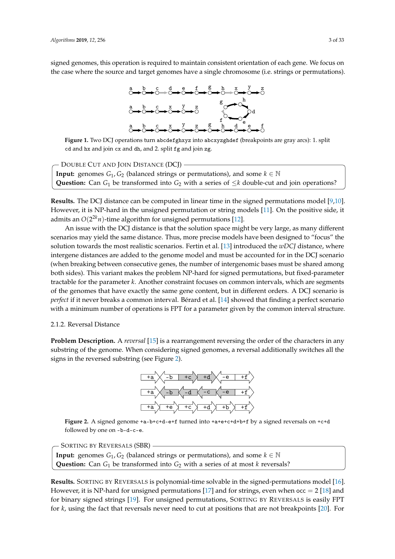signed genomes, this operation is required to maintain consistent orientation of each gene. We focus on the case where the source and target genomes have a single chromosome (i.e. strings or permutations).

<span id="page-2-0"></span>

**Figure 1.** Two DCJ operations turn abcdefghxyz into abcxyzghdef (breakpoints are gray arcs): 1. split cd and hx and join cx and dh, and 2. split fg and join zg.

**Input:** genomes  $G_1$ ,  $G_2$  (balanced strings or permutations), and some  $k \in \mathbb{N}$ **Question:** Can  $G_1$  be transformed into  $G_2$  with a series of  $\leq k$  double-cut and join operations? - DOUBLE CUT AND JOIN DISTANCE (DCJ) -

**Results.** The DCJ distance can be computed in linear time in the signed permutations model [\[9,](#page-22-3)[10\]](#page-22-4). However, it is NP-hard in the unsigned permutation or string models [\[11\]](#page-22-5). On the positive side, it admits an *O*(2 <sup>2</sup>*kn*)-time algorithm for unsigned permutations [\[12\]](#page-22-6).

An issue with the DCJ distance is that the solution space might be very large, as many different scenarios may yield the same distance. Thus, more precise models have been designed to "focus" the solution towards the most realistic scenarios. Fertin et al. [\[13\]](#page-22-7) introduced the *wDCJ* distance, where intergene distances are added to the genome model and must be accounted for in the DCJ scenario (when breaking between consecutive genes, the number of intergenomic bases must be shared among both sides). This variant makes the problem NP-hard for signed permutations, but fixed-parameter tractable for the parameter *k*. Another constraint focuses on common intervals, which are segments of the genomes that have exactly the same gene content, but in different orders. A DCJ scenario is *perfect* if it never breaks a common interval. Bérard et al. [\[14\]](#page-22-8) showed that finding a perfect scenario with a minimum number of operations is FPT for a parameter given by the common interval structure.

## 2.1.2. Reversal Distance

<span id="page-2-1"></span>**Problem Description.** A *reversal* [\[15\]](#page-22-9) is a rearrangement reversing the order of the characters in any substring of the genome. When considering signed genomes, a reversal additionally switches all the signs in the reversed substring (see Figure [2\)](#page-2-1).



**Figure 2.** A signed genome +a-b+c+d-e+f turned into +a+e+c+d+b+f by a signed reversals on +c+d followed by one on -b-d-c-e.

**Input:** genomes  $G_1$ ,  $G_2$  (balanced strings or permutations), and some  $k \in \mathbb{N}$ **Question:** Can  $G_1$  be transformed into  $G_2$  with a series of at most *k* reversals? - SORTING BY REVERSALS (SBR) -

**Results.** SORTING BY REVERSALS is polynomial-time solvable in the signed-permutations model [\[16\]](#page-22-10). However, it is NP-hard for unsigned permutations [\[17\]](#page-22-11) and for strings, even when  $\text{occ} = 2$  [\[18\]](#page-22-12) and for binary signed strings [\[19\]](#page-22-13). For unsigned permutations, SORTING BY REVERSALS is easily FPT for *k*, using the fact that reversals never need to cut at positions that are not breakpoints [\[20\]](#page-22-14). For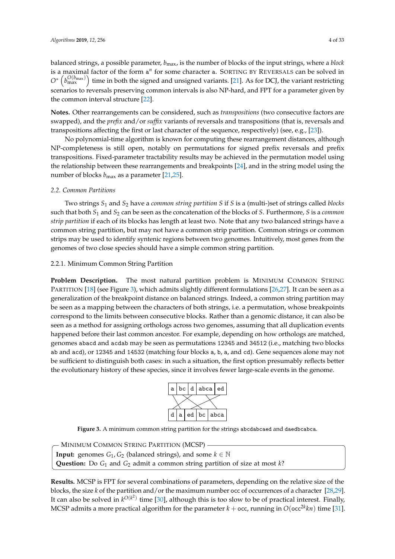balanced strings, a possible parameter, *b*max, is the number of blocks of the input strings, where a *block* is a maximal factor of the form a<sup>n</sup> for some character a. SORTING BY REVERSALS can be solved in  $O^*\left(b_{\max}^{O(b_{\max})}\right)$  time in both the signed and unsigned variants. [\[21\]](#page-22-15). As for DCJ, the variant restricting scenarios to reversals preserving common intervals is also NP-hard, and FPT for a parameter given by the common interval structure [\[22\]](#page-22-16).

**Notes.** Other rearrangements can be considered, such as *transpositions* (two consecutive factors are swapped), and the *prefix* and/or *suffix* variants of reversals and transpositions (that is, reversals and transpositions affecting the first or last character of the sequence, respectively) (see, e.g., [\[23\]](#page-22-17)).

No polynomial-time algorithm is known for computing these rearrangement distances, although NP-completeness is still open, notably on permutations for signed prefix reversals and prefix transpositions. Fixed-parameter tractability results may be achieved in the permutation model using the relationship between these rearrangements and breakpoints [\[24\]](#page-22-18), and in the string model using the number of blocks  $b_{\text{max}}$  as a parameter [\[21,](#page-22-15)[25\]](#page-22-19).

# *2.2. Common Partitions*

Two strings *S*<sup>1</sup> and *S*<sup>2</sup> have a *common string partition S* if *S* is a (multi-)set of strings called *blocks* such that both *S*<sup>1</sup> and *S*<sup>2</sup> can be seen as the concatenation of the blocks of *S*. Furthermore, *S* is a *common strip partition* if each of its blocks has length at least two. Note that any two balanced strings have a common string partition, but may not have a common strip partition. Common strings or common strips may be used to identify syntenic regions between two genomes. Intuitively, most genes from the genomes of two close species should have a simple common string partition.

# 2.2.1. Minimum Common String Partition

**Problem Description.** The most natural partition problem is MINIMUM COMMON STRING PARTITION [\[18\]](#page-22-12) (see Figure [3\)](#page-3-0), which admits slightly different formulations [\[26,](#page-22-20)[27\]](#page-22-21). It can be seen as a generalization of the breakpoint distance on balanced strings. Indeed, a common string partition may be seen as a mapping between the characters of both strings, i.e. a permutation, whose breakpoints correspond to the limits between consecutive blocks. Rather than a genomic distance, it can also be seen as a method for assigning orthologs across two genomes, assuming that all duplication events happened before their last common ancestor. For example, depending on how orthologs are matched, genomes abacd and acdab may be seen as permutations 12345 and 34512 (i.e., matching two blocks ab and acd), or 12345 and 14532 (matching four blocks a, b, a, and cd). Gene sequences alone may not be sufficient to distinguish both cases: in such a situation, the first option presumably reflects better the evolutionary history of these species, since it involves fewer large-scale events in the genome.



<span id="page-3-0"></span>**Figure 3.** A minimum common string partition for the strings abcdabcaed and daedbcabca.

**Input:** genomes  $G_1$ ,  $G_2$  (balanced strings), and some  $k \in \mathbb{N}$ **Question:** Do *G*<sup>1</sup> and *G*<sup>2</sup> admit a common string partition of size at most *k*? - Minimum Common String Partition (MCSP) –

**Results.** MCSP is FPT for several combinations of parameters, depending on the relative size of the blocks, the size *k* of the partition and/or the maximum number occ of occurrences of a character [\[28](#page-22-22)[,29\]](#page-22-23). It can also be solved in  $k^{O(k^2)}$  time [\[30\]](#page-22-24), although this is too slow to be of practical interest. Finally, MCSP admits a more practical algorithm for the parameter  $k + \mathsf{occ}$ , running in  $O(\mathsf{occ}^{2k}kn)$  time [\[31\]](#page-23-0).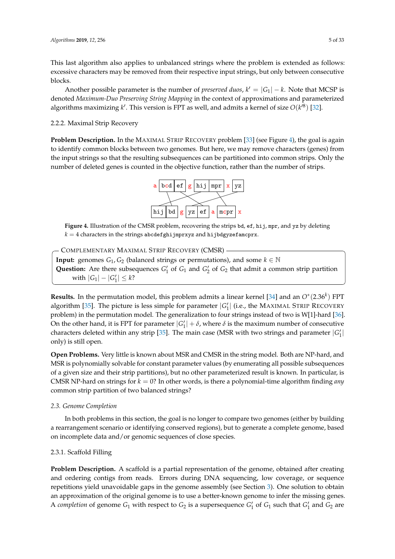This last algorithm also applies to unbalanced strings where the problem is extended as follows: excessive characters may be removed from their respective input strings, but only between consecutive blocks.

Another possible parameter is the number of *preserved duos*,  $k' = |G_1| - k$ . Note that MCSP is denoted *Maximum-Duo Preserving String Mapping* in the context of approximations and parameterized algorithms maximizing  $k'$ . This version is FPT as well, and admits a kernel of size  $O(k'^8)$  [\[32\]](#page-23-1).

2.2.2. Maximal Strip Recovery

<span id="page-4-0"></span>**Problem Description.** In the MAXIMAL STRIP RECOVERY problem [\[33\]](#page-23-2) (see Figure [4\)](#page-4-0), the goal is again to identify common blocks between two genomes. But here, we may remove characters (genes) from the input strings so that the resulting subsequences can be partitioned into common strips. Only the number of deleted genes is counted in the objective function, rather than the number of strips.



**Figure 4.** Illustration of the CMSR problem, recovering the strips bd, ef, hij, mpr, and yz by deleting  $k = 4$  characters in the strings abcdefghijmprxyz and hijbdgyzefamcprx.

- COMPLEMENTARY MAXIMAL STRIP RECOVERY (CMSR) -

**Input:** genomes  $G_1$ ,  $G_2$  (balanced strings or permutations), and some  $k \in \mathbb{N}$ **Question:** Are there subsequences  $G_1'$  of  $G_1$  and  $G_2'$  of  $G_2$  that admit a common strip partition  $\text{with } |G_1| - |G'_1| \leq k$ ?

**Results.** In the permutation model, this problem admits a linear kernel [\[34\]](#page-23-3) and an *O*<sup>∗</sup> (2.36*<sup>k</sup>* ) FPT algorithm [\[35\]](#page-23-4). The picture is less simple for parameter  $|G_1'|$  (i.e., the MAXIMAL STRIP RECOVERY problem) in the permutation model. The generalization to four strings instead of two is W[1]-hard [\[36\]](#page-23-5). On the other hand, it is FPT for parameter  $|G_1'| + \delta$ , where  $\delta$  is the maximum number of consecutive characters deleted within any strip [\[35\]](#page-23-4). The main case (MSR with two strings and parameter  $|G_1'|$ only) is still open.

**Open Problems.** Very little is known about MSR and CMSR in the string model. Both are NP-hard, and MSR is polynomially solvable for constant parameter values (by enumerating all possible subsequences of a given size and their strip partitions), but no other parameterized result is known. In particular, is CMSR NP-hard on strings for  $k = 0$ ? In other words, is there a polynomial-time algorithm finding *any* common strip partition of two balanced strings?

### *2.3. Genome Completion*

In both problems in this section, the goal is no longer to compare two genomes (either by building a rearrangement scenario or identifying conserved regions), but to generate a complete genome, based on incomplete data and/or genomic sequences of close species.

### 2.3.1. Scaffold Filling

**Problem Description.** A scaffold is a partial representation of the genome, obtained after creating and ordering contigs from reads. Errors during DNA sequencing, low coverage, or sequence repetitions yield unavoidable gaps in the genome assembly (see Section [3\)](#page-5-0). One solution to obtain an approximation of the original genome is to use a better-known genome to infer the missing genes. A *completion* of genome  $G_1$  with respect to  $G_2$  is a supersequence  $G'_1$  of  $G_1$  such that  $G'_1$  and  $G_2$  are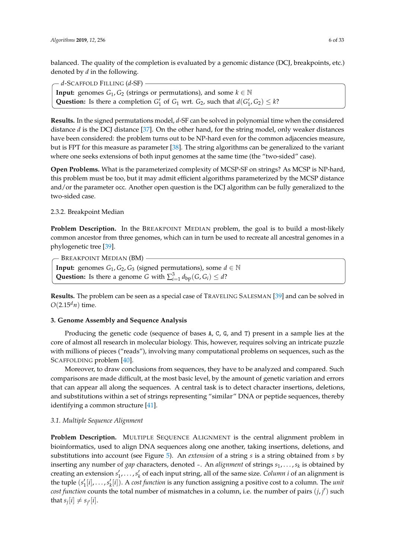balanced. The quality of the completion is evaluated by a genomic distance (DCJ, breakpoints, etc.) denoted by *d* in the following.

**Input:** genomes  $G_1$ ,  $G_2$  (strings or permutations), and some  $k \in \mathbb{N}$ **Question:** Is there a completion  $G'_1$  of  $G_1$  wrt.  $G_2$ , such that  $d(G'_1, G_2) \leq k$ ? *d*-SCAFFOLD FILLING (*d*-SF)

**Results.** In the signed permutations model, *d*-SF can be solved in polynomial time when the considered distance *d* is the DCJ distance [\[37\]](#page-23-6). On the other hand, for the string model, only weaker distances have been considered: the problem turns out to be NP-hard even for the common adjacencies measure, but is FPT for this measure as parameter [\[38\]](#page-23-7). The string algorithms can be generalized to the variant where one seeks extensions of both input genomes at the same time (the "two-sided" case).

**Open Problems.** What is the parameterized complexity of MCSP-SF on strings? As MCSP is NP-hard, this problem must be too, but it may admit efficient algorithms parameterized by the MCSP distance and/or the parameter occ. Another open question is the DCJ algorithm can be fully generalized to the two-sided case.

# 2.3.2. Breakpoint Median

**Problem Description.** In the BREAKPOINT MEDIAN problem, the goal is to build a most-likely common ancestor from three genomes, which can in turn be used to recreate all ancestral genomes in a phylogenetic tree [\[39\]](#page-23-8).

**Input:** genomes *G*<sub>1</sub>, *G*<sub>2</sub>, *G*<sub>3</sub> (signed permutations), some  $d \in \mathbb{N}$ **Question:** Is there a genome *G* with  $\sum_{i=1}^{3} d_{bp}(G, G_i) \leq d$ ? - BREAKPOINT MEDIAN (BM) -

**Results.** The problem can be seen as a special case of TRAVELING SALESMAN [\[39\]](#page-23-8) and can be solved in  $O(2.15<sup>d</sup>n)$  time.

# <span id="page-5-0"></span>**3. Genome Assembly and Sequence Analysis**

Producing the genetic code (sequence of bases A, C, G, and T) present in a sample lies at the core of almost all research in molecular biology. This, however, requires solving an intricate puzzle with millions of pieces ("reads"), involving many computational problems on sequences, such as the SCAFFOLDING problem [\[40\]](#page-23-9).

Moreover, to draw conclusions from sequences, they have to be analyzed and compared. Such comparisons are made difficult, at the most basic level, by the amount of genetic variation and errors that can appear all along the sequences. A central task is to detect character insertions, deletions, and substitutions within a set of strings representing "similar" DNA or peptide sequences, thereby identifying a common structure [\[41\]](#page-23-10).

# *3.1. Multiple Sequence Alignment*

**Problem Description.** MULTIPLE SEQUENCE ALIGNMENT is the central alignment problem in bioinformatics, used to align DNA sequences along one another, taking insertions, deletions, and substitutions into account (see Figure [5\)](#page-6-0). An *extension* of a string *s* is a string obtained from *s* by inserting any number of *gap* characters, denoted -. An *alignment* of strings *s*1, . . . ,*s<sup>k</sup>* is obtained by creating an extension  $s'_1, \ldots, s'_k$  of each input string, all of the same size. *Column i* of an alignment is the tuple  $(s'_1[i], \ldots, s'_k[i])$ . A *cost function* is any function assigning a positive cost to a column. The *unit*  $cost$  function counts the total number of mismatches in a column, i.e. the number of pairs  $(j, j')$  such that  $s_j[i] \neq s_{j'}[i]$ .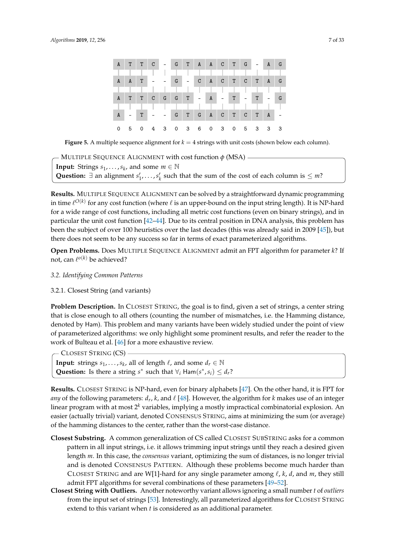<span id="page-6-0"></span>

|              | A T T C -    |    |  | $G$ T A A C T $G$ -         |  |         |         |       |     | A | $\overline{G}$ |
|--------------|--------------|----|--|-----------------------------|--|---------|---------|-------|-----|---|----------------|
|              |              |    |  |                             |  |         |         |       |     |   |                |
| A            | $\mathbf{A}$ | T. |  | $G =$                       |  |         | CACTCTA |       |     |   | G              |
|              |              |    |  |                             |  |         |         |       |     |   |                |
| A            |              |    |  | $T$ $T$ $C$ $G$ $G$ $T$ $-$ |  | $A$ $-$ | $T -$   |       | T   |   | G              |
|              |              |    |  |                             |  |         |         |       |     |   |                |
| $\mathbf{A}$ |              | T. |  | G T G A C T C               |  |         |         |       | T A |   |                |
| $\mathbf 0$  |              |    |  | 5 0 4 3 0 3 6 0 3 0         |  |         |         | 5 3 3 |     |   | - 3            |

**Figure 5.** A multiple sequence alignment for  $k = 4$  strings with unit costs (shown below each column).

**Input:** Strings  $s_1, \ldots, s_k$ , and some  $m \in \mathbb{N}$ Question:  $\exists$  an alignment *s*<sup>1</sup><sub>1</sub>, . . . , *s*<sup> $\prime$ </sup><sub>*k*</sub> such that the sum of the cost of each column is  $\leq$  *m*? MULTIPLE SEQUENCE ALIGNMENT with cost function *φ* (MSA)

**Results.** MULTIPLE SEQUENCE ALIGNMENT can be solved by a straightforward dynamic programming in time  $\ell^{O(k)}$  for any cost function (where  $\ell$  is an upper-bound on the input string length). It is NP-hard for a wide range of cost functions, including all metric cost functions (even on binary strings), and in particular the unit cost function [\[42](#page-23-11)[–44\]](#page-23-12). Due to its central position in DNA analysis, this problem has been the subject of over 100 heuristics over the last decades (this was already said in 2009 [\[45\]](#page-23-13)), but there does not seem to be any success so far in terms of exact parameterized algorithms.

**Open Problems.** Does MULTIPLE SEQUENCE ALIGNMENT admit an FPT algorithm for parameter *k*? If not, can  $\ell^{o(k)}$  be achieved?

### *3.2. Identifying Common Patterns*

### 3.2.1. Closest String (and variants)

**Problem Description.** In CLOSEST STRING, the goal is to find, given a set of strings, a center string that is close enough to all others (counting the number of mismatches, i.e. the Hamming distance, denoted by Ham). This problem and many variants have been widely studied under the point of view of parameterized algorithms: we only highlight some prominent results, and refer the reader to the work of Bulteau et al. [\[46\]](#page-23-14) for a more exhaustive review.

**Input:** strings *s*<sub>1</sub>, . . . , *s*<sub>*k*</sub>, all of length  $\ell$ , and some  $d_r \in \mathbb{N}$ **Question:** Is there a string *s*<sup>\*</sup> such that  $\forall$ *i* Ham(*s*<sup>\*</sup>, *si*</sup>)  $\leq d$ <sup>*r*</sup>? - CLOSEST STRING (CS) -

**Results.** CLOSEST STRING is NP-hard, even for binary alphabets [\[47\]](#page-23-15). On the other hand, it is FPT for *any* of the following parameters:  $d_r$ ,  $k$ , and  $\ell$  [\[48\]](#page-23-16). However, the algorithm for  $k$  makes use of an integer linear program with at most 2<sup>k</sup> variables, implying a mostly impractical combinatorial explosion. An easier (actually trivial) variant, denoted CONSENSUS STRING, aims at minimizing the sum (or average) of the hamming distances to the center, rather than the worst-case distance.

- **Closest Substring.** A common generalization of CS called CLOSEST SUBSTRING asks for a common pattern in all input strings, i.e. it allows trimming input strings until they reach a desired given length *m*. In this case, the *consensus* variant, optimizing the sum of distances, is no longer trivial and is denoted CONSENSUS PATTERN. Although these problems become much harder than CLOSEST STRING and are W[1]-hard for any single parameter among  $\ell$ ,  $k$ ,  $d$ , and  $m$ , they still admit FPT algorithms for several combinations of these parameters [\[49](#page-23-17)[–52\]](#page-23-18).
- **Closest String with Outliers.** Another noteworthy variant allows ignoring a small number *t* of *outliers* from the input set of strings [\[53\]](#page-23-19). Interestingly, all parameterized algorithms for CLOSEST STRING extend to this variant when *t* is considered as an additional parameter.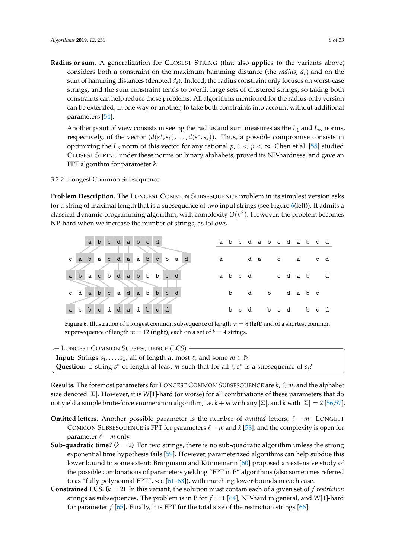- **Radius or sum.** A generalization for CLOSEST STRING (that also applies to the variants above) considers both a constraint on the maximum hamming distance (the *radius*,  $d<sub>r</sub>$ ) and on the sum of hamming distances (denoted *ds*). Indeed, the radius constraint only focuses on worst-case
	- strings, and the sum constraint tends to overfit large sets of clustered strings, so taking both constraints can help reduce those problems. All algorithms mentioned for the radius-only version can be extended, in one way or another, to take both constraints into account without additional parameters [\[54\]](#page-23-20).

Another point of view consists in seeing the radius and sum measures as the  $L_1$  and  $L_\infty$  norms, respectively, of the vector  $(d(s^*, s_1), \ldots, d(s^*, s_k))$ . Thus, a possible compromise consists in optimizing the  $L_p$  norm of this vector for any rational  $p$ ,  $1 < p < \infty$ . Chen et al. [\[55\]](#page-24-0) studied CLOSEST STRING under these norms on binary alphabets, proved its NP-hardness, and gave an FPT algorithm for parameter *k*.

### 3.2.2. Longest Common Subsequence

**Problem Description.** The LONGEST COMMON SUBSESQUENCE problem in its simplest version asks for a string of maximal length that is a subsequence of two input strings (see Figure [6\(](#page-7-0)left)). It admits a classical dynamic programming algorithm, with complexity  $O(n^2)$ . However, the problem becomes NP-hard when we increase the number of strings, as follows.

<span id="page-7-0"></span>

**Figure 6.** Illustration of a longest common subsequence of length *m* = 8 (**left**) and of a shortest common supersequence of length  $m = 12$  (right), each on a set of  $k = 4$  strings.

| $\sim$ Longest Common Subsesquence (LCS) $\cdot$                                                                               |  |
|--------------------------------------------------------------------------------------------------------------------------------|--|
| <b>Input:</b> Strings $s_1, \ldots, s_k$ , all of length at most $\ell$ , and some $m \in \mathbb{N}$                          |  |
| Question: $\exists$ string s <sup>*</sup> of length at least m such that for all i, s <sup>*</sup> is a subsequence of $s_i$ ? |  |

**Results.** The foremost parameters for LONGEST COMMON SUBSESQUENCE are  $k$ ,  $\ell$ ,  $m$ , and the alphabet size denoted  $|\Sigma|$ . However, it is W[1]-hard (or worse) for all combinations of these parameters that do not yield a simple brute-force enumeration algorithm, i.e. *k* + *m* with any |Σ|, and *k* with |Σ| = 2 [\[56](#page-24-1)[,57\]](#page-24-2).

- **Omitted letters.** Another possible parameter is the number of *omitted* letters,  $\ell m$ : LONGEST COMMON SUBSESQUENCE is FPT for parameters  $\ell - m$  and  $k$  [\[58\]](#page-24-3), and the complexity is open for parameter  $\ell - m$  only.
- **Sub-quadratic time?**  $(k = 2)$  For two strings, there is no sub-quadratic algorithm unless the strong exponential time hypothesis fails [\[59\]](#page-24-4). However, parameterized algorithms can help subdue this lower bound to some extent: Bringmann and Künnemann [\[60\]](#page-24-5) proposed an extensive study of the possible combinations of parameters yielding "FPT in P" algorithms (also sometimes referred to as "fully polynomial FPT", see [\[61–](#page-24-6)[63\]](#page-24-7)), with matching lower-bounds in each case.
- **Constrained LCS. (***k* = 2**)** In this variant, the solution must contain each of a given set of *f restriction* strings as subsequences. The problem is in P for  $f = 1$  [\[64\]](#page-24-8), NP-hard in general, and W[1]-hard for parameter *f* [\[65\]](#page-24-9). Finally, it is FPT for the total size of the restriction strings [\[66\]](#page-24-10).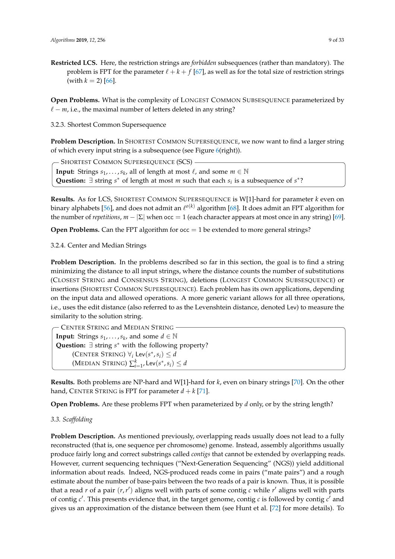**Restricted LCS.** Here, the restriction strings are *forbidden* subsequences (rather than mandatory). The problem is FPT for the parameter  $\ell + k + f$  [\[67\]](#page-24-11), as well as for the total size of restriction strings (with  $k = 2$ ) [\[66\]](#page-24-10).

**Open Problems.** What is the complexity of LONGEST COMMON SUBSESQUENCE parameterized by  $\ell - m$ , i.e., the maximal number of letters deleted in any string?

3.2.3. Shortest Common Supersequence

**Problem Description.** In SHORTEST COMMON SUPERSEQUENCE, we now want to find a larger string of which every input string is a subsequence (see Figure [6\(](#page-7-0)right)).

**Input:** Strings  $s_1, \ldots, s_k$ , all of length at most  $\ell$ , and some  $m \in \mathbb{N}$ Question:  $\exists$  string  $s^*$  of length at most *m* such that each  $s_i$  is a subsequence of  $s^*$ ? - Shortest Common Supersequence (SCS) -

**Results.** As for LCS, SHORTEST COMMON SUPERSEQUENCE is W[1]-hard for parameter *k* even on binary alphabets [\[56\]](#page-24-1), and does not admit an  $\ell^{o(k)}$  algorithm [\[68\]](#page-24-12). It does admit an FPT algorithm for the number of *repetitions*,  $m - |\Sigma|$  when  $\text{occ} = 1$  (each character appears at most once in any string) [\[69\]](#page-24-13).

**Open Problems.** Can the FPT algorithm for  $occ = 1$  be extended to more general strings?

3.2.4. Center and Median Strings

**Problem Description.** In the problems described so far in this section, the goal is to find a string minimizing the distance to all input strings, where the distance counts the number of substitutions (CLOSEST STRING and CONSENSUS STRING), deletions (LONGEST COMMON SUBSESQUENCE) or insertions (SHORTEST COMMON SUPERSEQUENCE). Each problem has its own applications, depending on the input data and allowed operations. A more generic variant allows for all three operations, i.e., uses the edit distance (also referred to as the Levenshtein distance, denoted Lev) to measure the similarity to the solution string.

**Input:** Strings  $s_1, \ldots, s_k$ , and some  $d \in \mathbb{N}$ Question: ∃ string *s*<sup>\*</sup> with the following property?  $(\text{CENTER STRING}) \ \forall_i \ \text{Lev}(s^*, s_i) \leq d$  $(\text{MEDIAN STRING}) \sum_{i=1}^{k}$ , Lev $(s^*, s_i) \leq d$ CENTER STRING and MEDIAN STRING

**Results.** Both problems are NP-hard and W[1]-hard for *k*, even on binary strings [\[70\]](#page-24-14). On the other hand, CENTER STRING is FPT for parameter  $d + k$  [\[71\]](#page-24-15).

**Open Problems.** Are these problems FPT when parameterized by *d* only, or by the string length?

# *3.3. Scaffolding*

**Problem Description.** As mentioned previously, overlapping reads usually does not lead to a fully reconstructed (that is, one sequence per chromosome) genome. Instead, assembly algorithms usually produce fairly long and correct substrings called *contigs* that cannot be extended by overlapping reads. However, current sequencing techniques ("Next-Generation Sequencing" (NGS)) yield additional information about reads. Indeed, NGS-produced reads come in pairs ("mate pairs") and a rough estimate about the number of base-pairs between the two reads of a pair is known. Thus, it is possible that a read  $r$  of a pair  $(r, r')$  aligns well with parts of some contig  $c$  while  $r'$  aligns well with parts of contig  $c'$ . This presents evidence that, in the target genome, contig  $c$  is followed by contig  $c'$  and gives us an approximation of the distance between them (see Hunt et al. [\[72\]](#page-24-16) for more details). To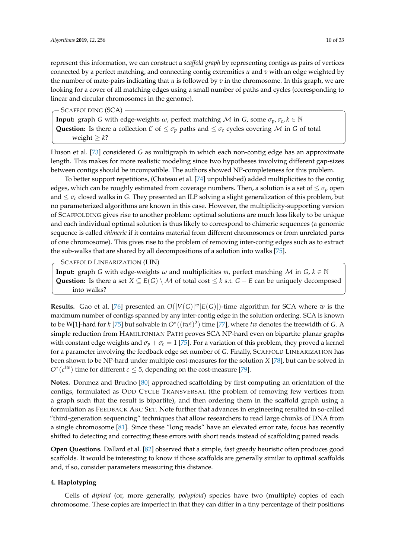represent this information, we can construct a *scaffold graph* by representing contigs as pairs of vertices connected by a perfect matching, and connecting contig extremities *u* and *v* with an edge weighted by the number of mate-pairs indicating that *u* is followed by *v* in the chromosome. In this graph, we are looking for a cover of all matching edges using a small number of paths and cycles (corresponding to linear and circular chromosomes in the genome).

- SCAFFOLDING (SCA) -

**Input:** graph *G* with edge-weights *ω*, perfect matching *M* in *G*, some  $\sigma_p$ ,  $\sigma_c$ ,  $k \in \mathbb{N}$ **Question:** Is there a collection  $C$  of  $\leq \sigma_p$  paths and  $\leq \sigma_c$  cycles covering M in *G* of total weight  $\geq k$ ?

Huson et al. [\[73\]](#page-24-17) considered *G* as multigraph in which each non-contig edge has an approximate length. This makes for more realistic modeling since two hypotheses involving different gap-sizes between contigs should be incompatible. The authors showed NP-completeness for this problem.

To better support repetitions, (Chateau et al. [\[74\]](#page-24-18) unpublished) added multiplicities to the contig edges, which can be roughly estimated from coverage numbers. Then, a solution is a set of  $\leq \sigma_p$  open and  $\leq \sigma_c$  closed walks in *G*. They presented an ILP solving a slight generalization of this problem, but no parameterized algorithms are known in this case. However, the multiplicity-supporting version of SCAFFOLDING gives rise to another problem: optimal solutions are much less likely to be unique and each individual optimal solution is thus likely to correspond to chimeric sequences (a genomic sequence is called *chimeric* if it contains material from different chromosomes or from unrelated parts of one chromosome). This gives rise to the problem of removing inter-contig edges such as to extract the sub-walks that are shared by all decompositions of a solution into walks [\[75\]](#page-24-19).

- SCAFFOLD LINEARIZATION (LIN) -

**Input:** graph *G* with edge-weights  $\omega$  and multiplicities  $m$ , perfect matching  $\mathcal{M}$  in  $G$ ,  $k \in \mathbb{N}$ **Question:** Is there a set  $X \subseteq E(G) \setminus M$  of total cost  $\leq k$  s.t.  $G - E$  can be uniquely decomposed into walks?

**Results.** Gao et al. [\[76\]](#page-24-20) presented an  $O(|V(G)|^w |E(G)|)$ -time algorithm for SCA where *w* is the maximum number of contigs spanned by any inter-contig edge in the solution ordering. SCA is known to be W[1]-hard for *k* [\[75\]](#page-24-19) but solvable in  $O<sup>*</sup>((tw!)<sup>2</sup>)$  time [\[77\]](#page-24-21), where *tw* denotes the treewidth of *G*. A simple reduction from HAMILTONIAN PATH proves SCA NP-hard even on bipartite planar graphs with constant edge weights and  $\sigma_p + \sigma_c = 1$  [\[75\]](#page-24-19). For a variation of this problem, they proved a kernel for a parameter involving the feedback edge set number of *G*. Finally, SCAFFOLD LINEARIZATION has been shown to be NP-hard under multiple cost-measures for the solution *X* [\[78\]](#page-25-0), but can be solved in  $O^*(c^{tw})$  time for different  $c \leq 5$ , depending on the cost-measure [\[79\]](#page-25-1).

**Notes.** Donmez and Brudno [\[80\]](#page-25-2) approached scaffolding by first computing an orientation of the contigs, formulated as ODD CYCLE TRANSVERSAL (the problem of removing few vertices from a graph such that the result is bipartite), and then ordering them in the scaffold graph using a formulation as FEEDBACK ARC SET. Note further that advances in engineering resulted in so-called "third-generation sequencing" techniques that allow researchers to read large chunks of DNA from a single chromosome [\[81\]](#page-25-3). Since these "long reads" have an elevated error rate, focus has recently shifted to detecting and correcting these errors with short reads instead of scaffolding paired reads.

**Open Questions.** Dallard et al. [\[82\]](#page-25-4) observed that a simple, fast greedy heuristic often produces good scaffolds. It would be interesting to know if those scaffolds are generally similar to optimal scaffolds and, if so, consider parameters measuring this distance.

# <span id="page-9-0"></span>**4. Haplotyping**

Cells of *diploid* (or, more generally, *polyploid*) species have two (multiple) copies of each chromosome. These copies are imperfect in that they can differ in a tiny percentage of their positions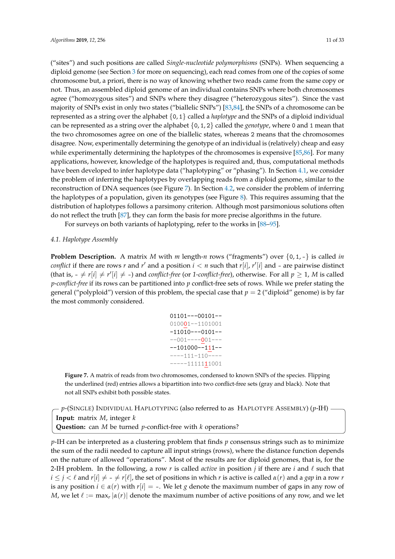("sites") and such positions are called *Single-nucleotide polymorphisms* (SNPs). When sequencing a diploid genome (see Section [3](#page-5-0) for more on sequencing), each read comes from one of the copies of some chromosome but, a priori, there is no way of knowing whether two reads came from the same copy or not. Thus, an assembled diploid genome of an individual contains SNPs where both chromosomes agree ("homozygous sites") and SNPs where they disagree ("heterozygous sites"). Since the vast majority of SNPs exist in only two states ("biallelic SNPs") [\[83](#page-25-5)[,84\]](#page-25-6), the SNPs of a chromosome can be represented as a string over the alphabet {0, 1} called a *haplotype* and the SNPs of a diploid individual can be represented as a string over the alphabet {0, 1, 2} called the *genotype*, where 0 and 1 mean that the two chromosomes agree on one of the biallelic states, whereas 2 means that the chromosomes disagree. Now, experimentally determining the genotype of an individual is (relatively) cheap and easy while experimentally determining the haplotypes of the chromosomes is expensive [\[85](#page-25-7)[,86\]](#page-25-8). For many applications, however, knowledge of the haplotypes is required and, thus, computational methods have been developed to infer haplotype data ("haplotyping" or "phasing"). In Section [4.1,](#page-10-0) we consider the problem of inferring the haplotypes by overlapping reads from a diploid genome, similar to the reconstruction of DNA sequences (see Figure [7\)](#page-10-1). In Section [4.2,](#page-12-0) we consider the problem of inferring the haplotypes of a population, given its genotypes (see Figure [8\)](#page-12-1). This requires assuming that the distribution of haplotypes follows a parsimony criterion. Although most parsimonious solutions often do not reflect the truth [\[87\]](#page-25-9), they can form the basis for more precise algorithms in the future.

For surveys on both variants of haplotyping, refer to the works in [\[88–](#page-25-10)[95\]](#page-25-11).

#### <span id="page-10-0"></span>*4.1. Haplotype Assembly*

<span id="page-10-1"></span>**Problem Description.** A matrix *M* with *m* length-*n* rows ("fragments") over  $\{0, 1, -\}$  is called *in conflict* if there are rows *r* and *r'* and a position  $i < n$  such that *r*[*i*], *r'*[*i*] and - are pairwise distinct (that is,  $-\neq r[i] \neq r'[i] \neq -$ ) and *conflict-free* (or 1-*conflict-free*), otherwise. For all  $p \geq 1$ , *M* is called *p*-*conflict-free* if its rows can be partitioned into *p* conflict-free sets of rows. While we prefer stating the general ("polyploid") version of this problem, the special case that  $p = 2$  ("diploid" genome) is by far the most commonly considered.

| $01101--00101--$         |
|--------------------------|
| $010001 - -1101001$      |
| $-11010---0101--$        |
| $-001$ ----001---        |
| $-101000 - 111 - -$      |
| $---111-110---$          |
| -----11111 <b>1</b> 1001 |

**Figure 7.** A matrix of reads from two chromosomes, condensed to known SNPs of the species. Flipping the underlined (red) entries allows a bipartition into two conflict-free sets (gray and black). Note that not all SNPs exhibit both possible states.

```
Input: matrix M, integer k
Question: can M be turned p-conflict-free with k operations?
p-(SINGLE) INDIVIDUAL HAPLOTYPING (also referred to as HAPLOTYPE ASSEMBLY) (p-IH)
```
*p*-IH can be interpreted as a clustering problem that finds *p* consensus strings such as to minimize the sum of the radii needed to capture all input strings (rows), where the distance function depends on the nature of allowed "operations". Most of the results are for diploid genomes, that is, for the 2-IH problem. In the following, a row  $r$  is called *active* in position  $j$  if there are  $i$  and  $\ell$  such that  $i \leq j \leq \ell$  and  $r[i] \neq -\neq r[\ell]$ , the set of positions in which *r* is active is called  $\alpha(r)$  and a *gap* in a row *r* is any position  $i \in \alpha(r)$  with  $r[i] = -$ . We let *g* denote the maximum number of gaps in any row of *M,* we let  $\ell := \max_r |\alpha(r)|$  denote the maximum number of active positions of any row, and we let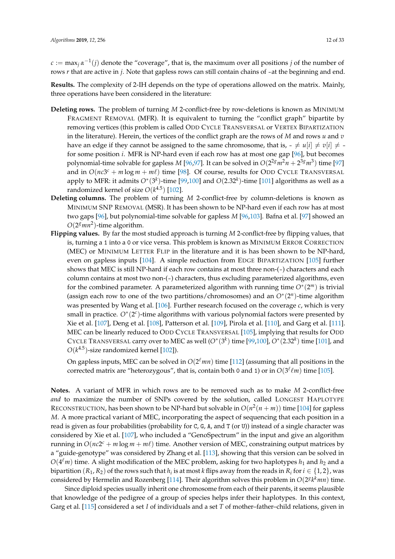$c := \max_j \alpha^{-1}(j)$  denote the "coverage", that is, the maximum over all positions  $j$  of the number of rows *r* that are active in *j*. Note that gapless rows can still contain chains of -at the beginning and end.

**Results.** The complexity of 2-IH depends on the type of operations allowed on the matrix. Mainly, three operations have been considered in the literature:

- **Deleting rows.** The problem of turning *M* 2-conflict-free by row-deletions is known as MINIMUM FRAGMENT REMOVAL (MFR). It is equivalent to turning the "conflict graph" bipartite by removing vertices (this problem is called ODD CYCLE TRANSVERSAL or VERTEX BIPARTIZATION in the literature). Herein, the vertices of the conflict graph are the rows of *M* and rows *u* and *v* have an edge if they cannot be assigned to the same chromosome, that is,  $-\neq u[i] \neq v[i] \neq -v[i]$ for some position *i*. MFR is NP-hard even if each row has at most one gap [\[96\]](#page-25-12), but becomes polynomial-time solvable for gapless *M* [\[96](#page-25-12)[,97\]](#page-25-13). It can be solved in  $O(2^{2g}m^2n + 2^{3g}m^3)$  time [\[97\]](#page-25-13) and in  $O(nc3<sup>c</sup> + m \log m + m\ell)$  time [\[98\]](#page-25-14). Of course, results for ODD CYCLE TRANSVERSAL apply to MFR: it admits  $O^*(3^k)$ -time [\[99](#page-25-15)[,100\]](#page-25-16) and  $O(2.32^k)$ -time [\[101\]](#page-25-17) algorithms as well as a randomized kernel of size  $O(k^{4.5})$  [\[102\]](#page-26-0).
- **Deleting columns.** The problem of turning *M* 2-conflict-free by column-deletions is known as MINIMUM SNP REMOVAL (MSR). It has been shown to be NP-hard even if each row has at most two gaps [\[96\]](#page-25-12), but polynomial-time solvable for gapless *M* [\[96](#page-25-12)[,103\]](#page-26-1). Bafna et al. [\[97\]](#page-25-13) showed an  $O(2^g m n^2)$ -time algorithm.
- **Flipping values.** By far the most studied approach is turning *M* 2-conflict-free by flipping values, that is, turning a 1 into a 0 or vice versa. This problem is known as MINIMUM ERROR CORRECTION (MEC) or MINIMUM LETTER FLIP in the literature and it is has been shown to be NP-hard, even on gapless inputs [\[104\]](#page-26-2). A simple reduction from EDGE BIPARTIZATION [\[105\]](#page-26-3) further shows that MEC is still NP-hard if each row contains at most three non-(-) characters and each column contains at most two non-(-) characters, thus excluding parameterized algorithms, even for the combined parameter. A parameterized algorithm with running time *O*<sup>∗</sup> (2 *<sup>m</sup>*) is trivial (assign each row to one of the two partitions/chromosomes) and an  $O<sup>*</sup>(2<sup>n</sup>)$ -time algorithm was presented by Wang et al. [\[106\]](#page-26-4). Further research focused on the coverage *c*, which is very small in practice. O<sup>\*</sup>(2<sup>c</sup>)-time algorithms with various polynomial factors were presented by Xie et al. [\[107\]](#page-26-5), Deng et al. [\[108\]](#page-26-6), Patterson et al. [\[109\]](#page-26-7), Pirola et al. [\[110\]](#page-26-8), and Garg et al. [\[111\]](#page-26-9). MEC can be linearly reduced to ODD CYCLE TRANSVERSAL [\[105\]](#page-26-3), implying that results for ODD CYCLE TRANSVERSAL carry over to MEC as well  $(O^*(3^k)$  time  $[99,100]$  $[99,100]$ ,  $O^*(2.32^k)$  time  $[101]$ , and  $O(k^{4.5})$ -size randomized kernel [\[102\]](#page-26-0)).

On gapless inputs, MEC can be solved in  $O(2^{\ell}mn)$  time [\[112\]](#page-26-10) (assuming that all positions in the corrected matrix are "heterozygous", that is, contain both 0 and 1) or in  $O(3^{\ell}\ell m)$  time [\[105\]](#page-26-3).

**Notes.** A variant of MFR in which rows are to be removed such as to make *M* 2-conflict-free *and* to maximize the number of SNPs covered by the solution, called LONGEST HAPLOTYPE RECONSTRUCTION, has been shown to be NP-hard but solvable in  $O(n^2(n+m))$  time [\[104\]](#page-26-2) for gapless *M*. A more practical variant of MEC, incorporating the aspect of sequencing that each position in a read is given as four probabilities (probability for C, G, A, and T (or U)) instead of a single character was considered by Xie et al. [\[107\]](#page-26-5), who included a "GenoSpectrum" in the input and give an algorithm running in  $O(nc2^c + m \log m + m\ell)$  time. Another version of MEC, constraining output matrices by a "guide-genotype" was considered by Zhang et al. [\[113\]](#page-26-11), showing that this version can be solved in  $O(4^{\ell}m)$  time. A slight modification of the MEC problem, asking for two haplotypes  $h_1$  and  $h_2$  and a bipartition  $(R_1,R_2)$  of the rows such that  $h_i$  is at most  $k$  flips away from the reads in  $R_i$  for  $i\in\{1,2\}$ , was considered by Hermelin and Rozenberg [\[114\]](#page-26-12). Their algorithm solves this problem in  $O(2^{g}k^{k}mn)$  time.

Since diploid species usually inherit one chromosome from each of their parents, it seems plausible that knowledge of the pedigree of a group of species helps infer their haplotypes. In this context, Garg et al. [\[115\]](#page-26-13) considered a set *I* of individuals and a set *T* of mother–father–child relations, given in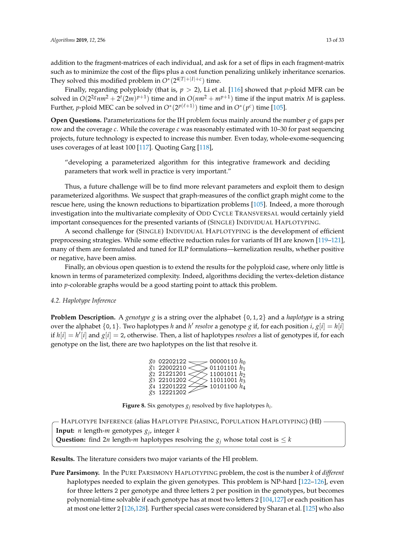Finally, regarding polyploidy (that is, *p* > 2), Li et al. [\[116\]](#page-26-14) showed that *p*-ploid MFR can be solved in  $O(2^{2g}nm^2 + 2^t(2m)^{p+1})$  time and in  $O(nm^2 + m^{p+1})$  time if the input matrix *M* is gapless. Further, *p*-ploid MEC can be solved in  $O^*(2^{p(\ell+1)})$  time and in  $O^*(p^c)$  time [\[105\]](#page-26-3).

**Open Questions.** Parameterizations for the IH problem focus mainly around the number *g* of gaps per row and the coverage *c*. While the coverage *c* was reasonably estimated with 10–30 for past sequencing projects, future technology is expected to increase this number. Even today, whole-exome-sequencing uses coverages of at least 100 [\[117\]](#page-26-15). Quoting Garg [\[118\]](#page-26-16),

"developing a parameterized algorithm for this integrative framework and deciding parameters that work well in practice is very important."

Thus, a future challenge will be to find more relevant parameters and exploit them to design parameterized algorithms. We suspect that graph-measures of the conflict graph might come to the rescue here, using the known reductions to bipartization problems [\[105\]](#page-26-3). Indeed, a more thorough investigation into the multivariate complexity of ODD CYCLE TRANSVERSAL would certainly yield important consequences for the presented variants of (SINGLE) INDIVIDUAL HAPLOTYPING.

A second challenge for (SINGLE) INDIVIDUAL HAPLOTYPING is the development of efficient preprocessing strategies. While some effective reduction rules for variants of IH are known [\[119](#page-26-17)[–121\]](#page-26-18), many of them are formulated and tuned for ILP formulations—kernelization results, whether positive or negative, have been amiss.

Finally, an obvious open question is to extend the results for the polyploid case, where only little is known in terms of parameterized complexity. Indeed, algorithms deciding the vertex-deletion distance into *p*-colorable graphs would be a good starting point to attack this problem.

# <span id="page-12-0"></span>*4.2. Haplotype Inference*

<span id="page-12-1"></span>**Problem Description.** A *genotype g* is a string over the alphabet  $\{0, 1, 2\}$  and a *haplotype* is a string over the alphabet  $\{0, 1\}$ . Two haplotypes *h* and *h'* resolve a genotype *g* if, for each position *i*,  $g[i] = h[i]$ if  $h[i] = h'[i]$  and  $g[i] = 2$ , otherwise. Then, a list of haplotypes *resolves* a list of genotypes if, for each genotype on the list, there are two haplotypes on the list that resolve it.

| $g_0$ 02202122 $\longrightarrow$ 00000110 $h_0$ |
|-------------------------------------------------|
| $>$ 01101101 $h_1$                              |
| $>$ 11001011 $h_2$                              |
| $>$ 11011001 $h_3$                              |
| $\lessgtr$ 10101100 $h_4$                       |
|                                                 |
|                                                 |

**Figure 8.** Six genotypes  $g_j$  resolved by five haplotypes  $h_i$ .

```
Input: n length-m genotypes gj
, integer k
Question: find 2n length-m haplotypes resolving the g_i whose total cost is \leq kHAPLOTYPE INFERENCE (alias HAPLOTYPE PHASING, POPULATION HAPLOTYPING) (HI)
```
**Results.** The literature considers two major variants of the HI problem.

**Pure Parsimony.** In the PURE PARSIMONY HAPLOTYPING problem, the cost is the number *k* of *different* haplotypes needed to explain the given genotypes. This problem is NP-hard [\[122](#page-26-19)[–126\]](#page-27-0), even for three letters 2 per genotype and three letters 2 per position in the genotypes, but becomes polynomial-time solvable if each genotype has at most two letters 2 [\[104](#page-26-2)[,127\]](#page-27-1) or each position has at most one letter 2 [\[126](#page-27-0)[,128\]](#page-27-2). Further special cases were considered by Sharan et al. [\[125\]](#page-26-20) who also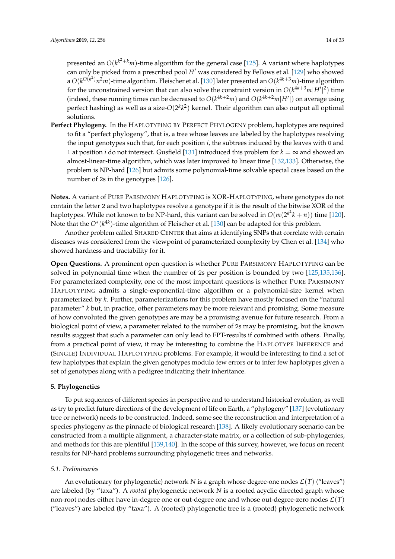presented an  $O(k^{k^2+k}m)$ -time algorithm for the general case [\[125\]](#page-26-20). A variant where haplotypes can only be picked from a prescribed pool *H'* was considered by Fellows et al. [\[129\]](#page-27-3) who showed a  $O(k^{O(k^2)}n^2m)$ -time algorithm. Fleischer et al. [\[130\]](#page-27-4) later presented an  $O(k^{4k+3}m)$ -time algorithm for the unconstrained version that can also solve the constraint version in  $O(k^{4k+3}m|H'|^2)$  time (indeed, these running times can be decreased to  $O(k^{4k+2}m)$  and  $O(k^{4k+2}m|H'|)$  on average using perfect hashing) as well as a size-O $(2^k k^2)$  kernel. Their algorithm can also output all optimal solutions.

**Perfect Phylogeny.** In the HAPLOTYPING BY PERFECT PHYLOGENY problem, haplotypes are required to fit a "perfect phylogeny", that is, a tree whose leaves are labeled by the haplotypes resolving the input genotypes such that, for each position *i*, the subtrees induced by the leaves with 0 and 1 at position *i* do not intersect. Gusfield [\[131\]](#page-27-5) introduced this problem for  $k = \infty$  and showed an almost-linear-time algorithm, which was later improved to linear time [\[132](#page-27-6)[,133\]](#page-27-7). Otherwise, the problem is NP-hard [\[126\]](#page-27-0) but admits some polynomial-time solvable special cases based on the number of 2s in the genotypes [\[126\]](#page-27-0).

**Notes.** A variant of PURE PARSIMONY HAPLOTYPING is XOR-HAPLOTYPING, where genotypes do not contain the letter 2 and two haplotypes resolve a genotype if it is the result of the bitwise XOR of the haplotypes. While not known to be NP-hard, this variant can be solved in  $O(m(2^{k^2}k+n))$  time [\[120\]](#page-26-21). Note that the *O*<sup>∗</sup> (*k* 4*k* )-time algorithm of Fleischer et al. [\[130\]](#page-27-4) can be adapted for this problem.

Another problem called SHARED CENTER that aims at identifying SNPs that correlate with certain diseases was considered from the viewpoint of parameterized complexity by Chen et al. [\[134\]](#page-27-8) who showed hardness and tractability for it.

**Open Questions.** A prominent open question is whether PURE PARSIMONY HAPLOTYPING can be solved in polynomial time when the number of 2s per position is bounded by two [\[125,](#page-26-20)[135,](#page-27-9)[136\]](#page-27-10). For parameterized complexity, one of the most important questions is whether PURE PARSIMONY HAPLOTYPING admits a single-exponential-time algorithm or a polynomial-size kernel when parameterized by *k*. Further, parameterizations for this problem have mostly focused on the "natural parameter" *k* but, in practice, other parameters may be more relevant and promising. Some measure of how convoluted the given genotypes are may be a promising avenue for future research. From a biological point of view, a parameter related to the number of 2s may be promising, but the known results suggest that such a parameter can only lead to FPT-results if combined with others. Finally, from a practical point of view, it may be interesting to combine the HAPLOTYPE INFERENCE and (SINGLE) INDIVIDUAL HAPLOTYPING problems. For example, it would be interesting to find a set of few haplotypes that explain the given genotypes modulo few errors or to infer few haplotypes given a set of genotypes along with a pedigree indicating their inheritance.

### <span id="page-13-0"></span>**5. Phylogenetics**

To put sequences of different species in perspective and to understand historical evolution, as well as try to predict future directions of the development of life on Earth, a "phylogeny" [\[137\]](#page-27-11) (evolutionary tree or network) needs to be constructed. Indeed, some see the reconstruction and interpretation of a species phylogeny as the pinnacle of biological research [\[138\]](#page-27-12). A likely evolutionary scenario can be constructed from a multiple alignment, a character-state matrix, or a collection of sub-phylogenies, and methods for this are plentiful [\[139](#page-27-13)[,140\]](#page-27-14). In the scope of this survey, however, we focus on recent results for NP-hard problems surrounding phylogenetic trees and networks.

### *5.1. Preliminaries*

An evolutionary (or phylogenetic) network *N* is a graph whose degree-one nodes  $\mathcal{L}(T)$  ("leaves") are labeled (by "taxa"). A *rooted* phylogenetic network *N* is a rooted acyclic directed graph whose non-root nodes either have in-degree one or out-degree one and whose out-degree-zero nodes  $\mathcal{L}(T)$ ("leaves") are labeled (by "taxa"). A (rooted) phylogenetic tree is a (rooted) phylogenetic network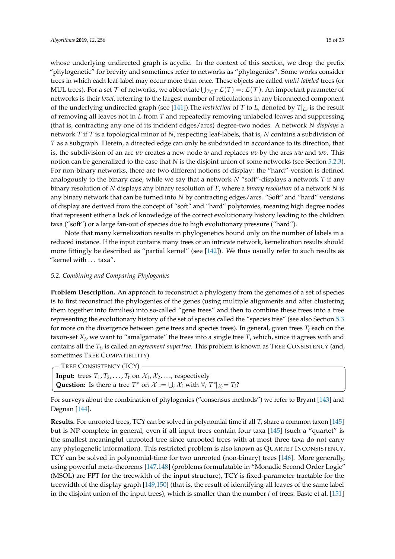whose underlying undirected graph is acyclic. In the context of this section, we drop the prefix "phylogenetic" for brevity and sometimes refer to networks as "phylogenies". Some works consider trees in which each leaf-label may occur more than once. These objects are called *multi-labeled* trees (or MUL trees). For a set  $\mathcal T$  of networks, we abbreviate  $\bigcup_{T\in\mathcal T}\mathcal L(T)=:\mathcal L(\mathcal T).$  An important parameter of networks is their *level*, referring to the largest number of reticulations in any biconnected component of the underlying undirected graph (see [\[141\]](#page-27-15)). The *restriction* of *T* to *L*, denoted by  $T|_L$  is the result of removing all leaves not in *L* from *T* and repeatedly removing unlabeled leaves and suppressing (that is, contracting any one of its incident edges/arcs) degree-two nodes. A network *N displays* a network *T* if *T* is a topological minor of *N*, respecting leaf-labels, that is, *N* contains a subdivision of *T* as a subgraph. Herein, a directed edge can only be subdivided in accordance to its direction, that is, the subdivision of an arc *uv* creates a new node *w* and replaces *uv* by the arcs *uw* and *wv*. This notion can be generalized to the case that *N* is the disjoint union of some networks (see Section [5.2.3\)](#page-16-0). For non-binary networks, there are two different notions of display: the "hard"-version is defined analogously to the binary case, while we say that a network *N* "soft"-displays a network *T* if any binary resolution of *N* displays any binary resolution of *T*, where a *binary resolution* of a network *N* is any binary network that can be turned into *N* by contracting edges/arcs. "Soft" and "hard" versions of display are derived from the concept of "soft" and "hard" polytomies, meaning high degree nodes that represent either a lack of knowledge of the correct evolutionary history leading to the children taxa ("soft") or a large fan-out of species due to high evolutionary pressure ("hard").

Note that many kernelization results in phylogenetics bound only on the number of labels in a reduced instance. If the input contains many trees or an intricate network, kernelization results should more fittingly be described as "partial kernel" (see [\[142\]](#page-27-16)). We thus usually refer to such results as "kernel with ... taxa".

### *5.2. Combining and Comparing Phylogenies*

**Problem Description.** An approach to reconstruct a phylogeny from the genomes of a set of species is to first reconstruct the phylogenies of the genes (using multiple alignments and after clustering them together into families) into so-called "gene trees" and then to combine these trees into a tree representing the evolutionary history of the set of species called the "species tree" (see also Section [5.3](#page-18-0) for more on the divergence between gene trees and species trees). In general, given trees  $T_i$  each on the taxon-set *X<sup>i</sup>* , we want to "amalgamate" the trees into a single tree *T*, which, since it agrees with and contains all the *T<sup>i</sup>* , is called an *agreement supertree*. This problem is known as TREE CONSISTENCY (and, sometimes TREE COMPATIBILITY).

- TREE CONSISTENCY (TCY) -

**Input:** trees  $T_1, T_2, \ldots, T_t$  on  $\mathcal{X}_1, \mathcal{X}_2, \ldots$ , respectively **Question:** Is there a tree  $T^*$  on  $\mathcal{X} := \bigcup_i \mathcal{X}_i$  with  $\forall i$   $T^*|_{\mathcal{X}_i} = T_i$ ?

For surveys about the combination of phylogenies ("consensus methods") we refer to Bryant [\[143\]](#page-27-17) and Degnan [\[144\]](#page-27-18).

**Results.** For unrooted trees, TCY can be solved in polynomial time if all  $T_i$  share a common taxon [\[145\]](#page-27-19) but is NP-complete in general, even if all input trees contain four taxa [\[145\]](#page-27-19) (such a "quartet" is the smallest meaningful unrooted tree since unrooted trees with at most three taxa do not carry any phylogenetic information). This restricted problem is also known as QUARTET INCONSISTENCY. TCY can be solved in polynomial-time for two unrooted (non-binary) trees [\[146\]](#page-27-20). More generally, using powerful meta-theorems [\[147,](#page-27-21)[148\]](#page-27-22) (problems formulatable in "Monadic Second Order Logic" (MSOL) are FPT for the treewidth of the input structure), TCY is fixed-parameter tractable for the treewidth of the display graph [\[149,](#page-27-23)[150\]](#page-28-0) (that is, the result of identifying all leaves of the same label in the disjoint union of the input trees), which is smaller than the number *t* of trees. Baste et al. [\[151\]](#page-28-1)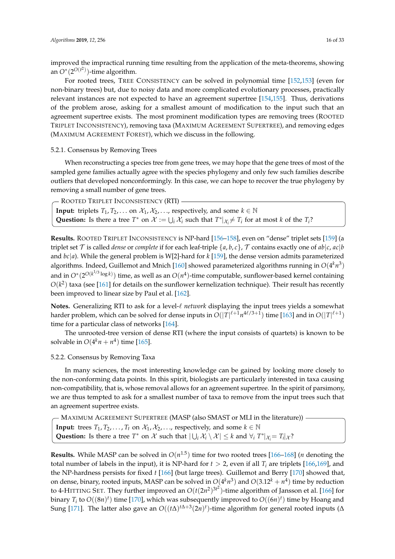improved the impractical running time resulting from the application of the meta-theorems, showing an  $O^*(2^{O(t^2)})$ -time algorithm.

For rooted trees, TREE CONSISTENCY can be solved in polynomial time [\[152,](#page-28-2)[153\]](#page-28-3) (even for non-binary trees) but, due to noisy data and more complicated evolutionary processes, practically relevant instances are not expected to have an agreement supertree [\[154](#page-28-4)[,155\]](#page-28-5). Thus, derivations of the problem arose, asking for a smallest amount of modification to the input such that an agreement supertree exists. The most prominent modification types are removing trees (ROOTED TRIPLET INCONSISTENCY), removing taxa (MAXIMUM AGREEMENT SUPERTREE), and removing edges (MAXIMUM AGREEMENT FOREST), which we discuss in the following.

### 5.2.1. Consensus by Removing Trees

When reconstructing a species tree from gene trees, we may hope that the gene trees of most of the sampled gene families actually agree with the species phylogeny and only few such families describe outliers that developed nonconformingly. In this case, we can hope to recover the true phylogeny by removing a small number of gene trees.

**Input:** triplets *T*<sub>1</sub>, *T*<sub>2</sub>, . . . on  $X_1, X_2, \ldots$ , respectively, and some  $k \in \mathbb{N}$ Question: Is there a tree  $T^*$  on  $\mathcal{X} := \bigcup_i \mathcal{X}_i$  such that  $T^*|_{\mathcal{X}_i} \neq T_i$  for at most *k* of the  $T_i$ ? - ROOTED TRIPLET INCONSISTENCY (RTI) -

**Results.** ROOTED TRIPLET INCONSISTENCY is NP-hard [\[156–](#page-28-6)[158\]](#page-28-7), even on "dense" triplet sets [\[159\]](#page-28-8) (a triplet set  $\mathcal T$  is called *dense* or *complete* if for each leaf-triple  $\{a, b, c\}$ ,  $\mathcal T$  contains exactly one of  $ab|c$ ,  $ac|b$ and *bc*|*a*). While the general problem is W[2]-hard for *k* [\[159\]](#page-28-8), the dense version admits parameterized algorithms. Indeed, Guillemot and Mnich [\[160\]](#page-28-9) showed parameterized algorithms running in  $O(4^k n^3)$ and in *O*<sup>∗</sup> (2 *O*(*k* 1/3 log *k*) ) time, as well as an *O*(*n* 4 )-time computable, sunflower-based kernel containing  $O(k^2)$  taxa (see [\[161\]](#page-28-10) for details on the sunflower kernelization technique). Their result has recently been improved to linear size by Paul et al. [\[162\]](#page-28-11).

Notes. Generalizing RTI to ask for a level- $\ell$  *network* displaying the input trees yields a somewhat harder problem, which can be solved for dense inputs in  $O(|T|^{\ell+1}n^{4\ell/3+1})$  time [\[163\]](#page-28-12) and in  $O(|T|^{\ell+1})$ time for a particular class of networks [\[164\]](#page-28-13).

The unrooted-tree version of dense RTI (where the input consists of quartets) is known to be solvable in  $O(4^k n + n^4)$  time [\[165\]](#page-28-14).

### 5.2.2. Consensus by Removing Taxa

In many sciences, the most interesting knowledge can be gained by looking more closely to the non-conforming data points. In this spirit, biologists are particularly interested in taxa causing non-compatibility, that is, whose removal allows for an agreement supertree. In the spirit of parsimony, we are thus tempted to ask for a smallest number of taxa to remove from the input trees such that an agreement supertree exists.

**Input:** trees  $T_1, T_2, \ldots, T_t$  on  $\mathcal{X}_1, \mathcal{X}_2, \ldots$ , respectively, and some  $k \in \mathbb{N}$ Question: Is there a tree  $T^*$  on  $\mathcal X$  such that  $|\bigcup_i \mathcal X_i \setminus \mathcal X| \leq k$  and  $\forall_i T^*|_{\mathcal X_i} = T_i|_{\mathcal X}$ ? - MAXIMUM AGREEMENT SUPERTREE (MASP (also SMAST or MLI in the literature)) -

**Results.** While MASP can be solved in  $O(n^{1.5})$  time for two rooted trees [\[166](#page-28-15)[–168\]](#page-28-16) (*n* denoting the total number of labels in the input), it is NP-hard for  $t > 2$ , even if all  $T_i$  are triplets [\[166,](#page-28-15)[169\]](#page-28-17), and the NP-hardness persists for fixed *t* [\[166\]](#page-28-15) (but large trees). Guillemot and Berry [\[170\]](#page-28-18) showed that, on dense, binary, rooted inputs, MASP can be solved in  $O(4^k n^3)$  and  $O(3.12^k + n^4)$  time by reduction to 4-HITTING SET. They further improved an  $O(t(2n^2)^{3t^2})$ -time algorithm of Jansson et al. [\[166\]](#page-28-15) for binary  $T_i$  to  $O((8n)^t)$  time [\[170\]](#page-28-18), which was subsequently improved to  $O((6n)^t)$  time by Hoang and Sung [\[171\]](#page-28-19). The latter also gave an  $O((t\Delta)^{t\Delta+3}(2n)^t)$ -time algorithm for general rooted inputs ( $\Delta$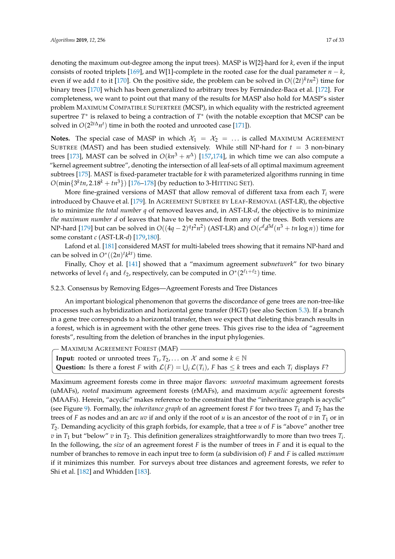denoting the maximum out-degree among the input trees). MASP is W[2]-hard for *k*, even if the input consists of rooted triplets [\[169\]](#page-28-17), and W[1]-complete in the rooted case for the dual parameter  $n - k$ , even if we add *t* to it [\[170\]](#page-28-18). On the positive side, the problem can be solved in  $O((2t)^k tn^2)$  time for binary trees [\[170\]](#page-28-18) which has been generalized to arbitrary trees by Fernández-Baca et al. [\[172\]](#page-28-20). For completeness, we want to point out that many of the results for MASP also hold for MASP's sister problem MAXIMUM COMPATIBLE SUPERTREE (MCSP), in which equality with the restricted agreement supertree *T*<sup>∗</sup> is relaxed to being a contraction of *T*<sup>∗</sup> (with the notable exception that MCSP can be solved in  $O(2^{2t\Delta}n^t)$  time in both the rooted and unrooted case [\[171\]](#page-28-19)).

**Notes.** The special case of MASP in which  $\mathcal{X}_1 = \mathcal{X}_2 = \dots$  is called MAXIMUM AGREEMENT SUBTREE (MAST) and has been studied extensively. While still NP-hard for  $t = 3$  non-binary trees [\[173\]](#page-28-21), MAST can be solved in  $O(kn^3 + n^{\Delta})$  [\[157](#page-28-22)[,174\]](#page-28-23), in which time we can also compute a "kernel agreement subtree", denoting the intersection of all leaf-sets of all optimal maximum agreement subtrees [\[175\]](#page-28-24). MAST is fixed-parameter tractable for *k* with parameterized algorithms running in time  $O(\min\{3^ktn, 2.18^k + tn^3\})$  [\[176–](#page-29-0)[178\]](#page-29-1) (by reduction to 3-HITTING SET).

More fine-grained versions of MAST that allow removal of different taxa from each  $T_i$  were introduced by Chauve et al. [\[179\]](#page-29-2). In AGREEMENT SUBTREE BY LEAF-REMOVAL (AST-LR), the objective is to minimize *the total number q* of removed leaves and, in AST-LR-*d*, the objective is to minimize *the maximum number d* of leaves that have to be removed from any of the trees. Both versions are NP-hard [\[179\]](#page-29-2) but can be solved in  $O((4q-2)^q t^2 n^2)$  (AST-LR) and  $O(c^d d^{3d}(n^3 + tn \log n))$  time for some constant *c* (AST-LR-*d*) [\[179,](#page-29-2)[180\]](#page-29-3).

Lafond et al. [\[181\]](#page-29-4) considered MAST for multi-labeled trees showing that it remains NP-hard and can be solved in  $O^*((2n)^t k^{kt})$  time.

Finally, Choy et al. [\[141\]](#page-27-15) showed that a "maximum agreement sub*network*" for two binary networks of level  $\ell_1$  and  $\ell_2$ , respectively, can be computed in  $O^*(2^{\ell_1+\ell_2})$  time.

### <span id="page-16-0"></span>5.2.3. Consensus by Removing Edges—Agreement Forests and Tree Distances

An important biological phenomenon that governs the discordance of gene trees are non-tree-like processes such as hybridization and horizontal gene transfer (HGT) (see also Section [5.3\)](#page-18-0). If a branch in a gene tree corresponds to a horizontal transfer, then we expect that deleting this branch results in a forest, which is in agreement with the other gene trees. This gives rise to the idea of "agreement forests", resulting from the deletion of branches in the input phylogenies.

**Input:** rooted or unrooted trees  $T_1, T_2, \ldots$  on  $\mathcal{X}$  and some  $k \in \mathbb{N}$ **Question:** Is there a forest *F* with  $\mathcal{L}(F) = \bigcup_i \mathcal{L}(T_i)$ , *F* has  $\leq k$  trees and each  $T_i$  displays *F*? - MAXIMUM AGREEMENT FOREST (MAF) -

Maximum agreement forests come in three major flavors: *unrooted* maximum agreement forests (uMAFs), *rooted* maximum agreement forests (rMAFs), and maximum *acyclic* agreement forests (MAAFs). Herein, "acyclic" makes reference to the constraint that the "inheritance graph is acyclic" (see Figure [9\)](#page-17-0). Formally, the *inheritance graph* of an agreement forest  $F$  for two trees  $T_1$  and  $T_2$  has the trees of *F* as nodes and an arc *uv* if and only if the root of *u* is an ancestor of the root of *v* in  $T_1$  or in *T*2. Demanding acyclicity of this graph forbids, for example, that a tree *u* of *F* is "above" another tree  $v$  in  $T_1$  but "below"  $v$  in  $T_2$ . This definition generalizes straightforwardly to more than two trees  $T_i$ . In the following, the *size* of an agreement forest *F* is the number of trees in *F* and it is equal to the number of branches to remove in each input tree to form (a subdivision of) *F* and *F* is called *maximum* if it minimizes this number. For surveys about tree distances and agreement forests, we refer to Shi et al. [\[182\]](#page-29-5) and Whidden [\[183\]](#page-29-6).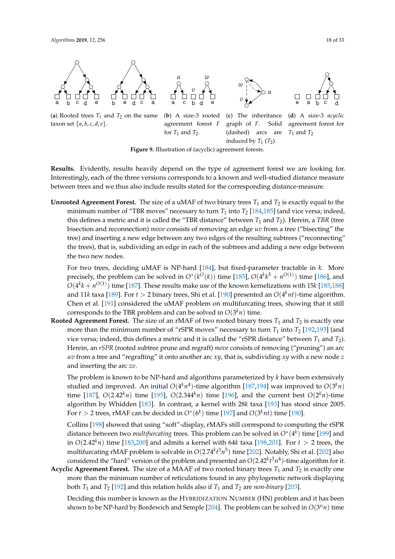taxon set  $\{a, b, c, d, e\}.$ 

<span id="page-17-0"></span>

induced by  $T_1$   $(T_2)$ . **Figure 9.** Illustration of (acyclic) agreement forests.

agreement forest *F*

graph of *F*. Solid (dashed) arcs are

for  $T_1$  and  $T_2$ .

**Results.** Evidently, results heavily depend on the type of agreement forest we are looking for. Interestingly, each of the three versions corresponds to a known and well-studied distance measure between trees and we thus also include results stated for the corresponding distance-measure.

**Unrooted Agreement Forest.** The size of a uMAF of two binary trees  $T_1$  and  $T_2$  is exactly equal to the minimum number of "TBR moves" necessary to turn  $T_1$  into  $T_2$  [\[184,](#page-29-7)[185\]](#page-29-8) (and vice versa; indeed, this defines a metric and it is called the "TBR distance" between  $T_1$  and  $T_2$ ). Herein, a TBR (tree bisection and reconnection) *move* consists of removing an edge *uv* from a tree ("bisecting" the tree) and inserting a new edge between any two edges of the resulting subtrees ("reconnecting" the trees), that is, subdividing an edge in each of the subtrees and adding a new edge between the two new nodes.

For two trees, deciding uMAF is NP-hard [\[184\]](#page-29-7), but fixed-parameter tractable in *k*. More precisely, the problem can be solved in  $O^*(k^O(k))$  time [\[185\]](#page-29-8),  $O(4^k k^5 + n^{O(1)})$  time [\[186\]](#page-29-9), and  $O(4^k k + n^{O(1)})$  time [\[187\]](#page-29-10). These results make use of the known kernelizations with 15*k* [\[185,](#page-29-8)[188\]](#page-29-11) and 11*k* taxa [\[189\]](#page-29-12). For *t* > 2 binary trees, Shi et al. [\[190\]](#page-29-13) presented an *O*(4 *<sup>k</sup>nt*)-time algorithm. Chen et al. [\[191\]](#page-29-14) considered the uMAF problem on multifurcating trees, showing that it still corresponds to the TBR problem and can be solved in  $O(3^k n)$  time.

**Rooted Agreement Forest.** The size of an rMAF of two rooted binary trees  $T_1$  and  $T_2$  is exactly one more than the minimum number of "rSPR moves" necessary to turn  $T_1$  into  $T_2$  [\[192,](#page-29-15)[193\]](#page-29-16) (and vice versa; indeed, this defines a metric and it is called the "rSPR distance" between  $T_1$  and  $T_2$ ). Herein, an *rSPR* (rooted subtree prune and regraft) *move* consists of removing ("pruning") an arc *uv* from a tree and "regrafting" it onto another arc *xy*, that is, subdividing *xy* with a new node *z* and inserting the arc *zv*.

The problem is known to be NP-hard and algorithms parameterized by *k* have been extensively studied and improved. An initial  $O(4^k n^4)$ -time algorithm [\[187](#page-29-10)[,194\]](#page-29-17) was improved to  $O(3^k n)$ time [\[187\]](#page-29-10),  $O(2.42<sup>k</sup>n)$  time [\[195\]](#page-29-18),  $O(2.344<sup>k</sup>n)$  time [\[196\]](#page-29-19), and the current best  $O(2<sup>k</sup>n)$ -time algorithm by Whidden [\[183\]](#page-29-6). In contrast, a kernel with 28*k* taxa [\[193\]](#page-29-16) has stood since 2005. For  $t > 2$  trees, rMAF can be decided in  $O^*(6^k)$  time [\[197\]](#page-29-20) and  $O(3^k nt)$  time [\[190\]](#page-29-13).

Collins [\[198\]](#page-29-21) showed that using "soft"-display, rMAFs still correspond to computing the rSPR distance between two *multifurcating* trees. This problem can be solved in *O*<sup>∗</sup> (4 *k* ) time [\[199\]](#page-29-22) and in  $O(2.42<sup>k</sup> n)$  time [\[183,](#page-29-6)[200\]](#page-29-23) and admits a kernel with 64*k* taxa [\[198](#page-29-21)[,201\]](#page-29-24). For  $t > 2$  trees, the multifurcating rMAF problem is solvable in *O*(2.74*<sup>k</sup> t* 3*n* 5 ) time [\[202\]](#page-30-0). Notably, Shi et al. [\[202\]](#page-30-0) also considered the "hard" version of the problem and presented an  $O(2.42^k t^3 n^4)$ -time algorithm for it.

**Acyclic Agreement Forest.** The size of a MAAF of two rooted binary trees  $T_1$  and  $T_2$  is exactly one more than the minimum number of reticulations found in any phylogenetic network displaying both  $T_1$  and  $T_2$  [\[192\]](#page-29-15) and this relation holds also if  $T_1$  and  $T_2$  are *non-binary* [\[203\]](#page-30-1).

Deciding this number is known as the HYBRIDIZATION NUMBER (HN) problem and it has been shown to be NP-hard by Bordewich and Semple [\[204\]](#page-30-2). The problem can be solved in *O*(3 *<sup>n</sup>n*) time

agreement forest for

 $T_1$  and  $T_2$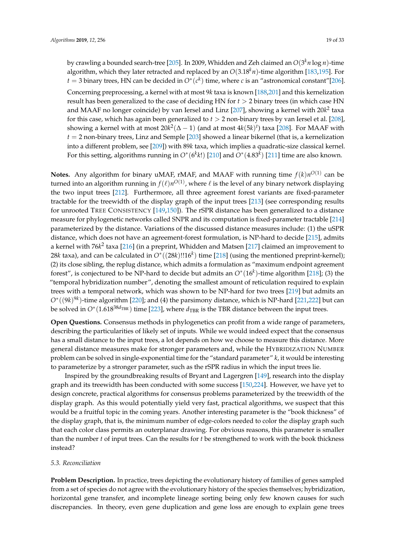by crawling a bounded search-tree [\[205\]](#page-30-3). In 2009, Whidden and Zeh claimed an *O*(3 *<sup>k</sup>n* log *n*)-time algorithm, which they later retracted and replaced by an *O*(3.18*kn*)-time algorithm [\[183,](#page-29-6)[195\]](#page-29-18). For  $t = 3$  binary trees, HN can be decided in  $O^*(c^k)$  time, where  $c$  is an "astronomical constant"[\[206\]](#page-30-4). Concerning preprocessing, a kernel with at most 9*k* taxa is known [\[188,](#page-29-11)[201\]](#page-29-24) and this kernelization result has been generalized to the case of deciding HN for *t* > 2 binary trees (in which case HN and MAAF no longer coincide) by van Iersel and Linz [\[207\]](#page-30-5), showing a kernel with 20 $k^2$  taxa for this case, which has again been generalized to *t* > 2 non-binary trees by van Iersel et al. [\[208\]](#page-30-6), showing a kernel with at most 20*k* 2 (∆ − 1) (and at most 4*k*(5*k*) *t* ) taxa [\[208\]](#page-30-6). For MAAF with  $t = 2$  non-binary trees, Linz and Semple [\[203\]](#page-30-1) showed a linear bikernel (that is, a kernelization into a different problem, see [\[209\]](#page-30-7)) with 89*k* taxa, which implies a quadratic-size classical kernel. For this setting, algorithms running in  $O^*(6^k k!)$  [\[210\]](#page-30-8) and  $O^*(4.83^k)$  [\[211\]](#page-30-9) time are also known.

**Notes.** Any algorithm for binary uMAF, rMAF, and MAAF with running time  $f(k)n^{O(1)}$  can be turned into an algorithm running in  $f(\ell)n^{O(1)}$ , where  $\ell$  is the level of any binary network displaying the two input trees [\[212\]](#page-30-10). Furthermore, all three agreement forest variants are fixed-parameter tractable for the treewidth of the display graph of the input trees [\[213\]](#page-30-11) (see corresponding results for unrooted TREE CONSISTENCY [\[149,](#page-27-23)[150\]](#page-28-0)). The rSPR distance has been generalized to a distance measure for phylogenetic networks called SNPR and its computation is fixed-parameter tractable [\[214\]](#page-30-12) parameterized by the distance. Variations of the discussed distance measures include: (1) the uSPR distance, which does not have an agreement-forest formulation, is NP-hard to decide [\[215\]](#page-30-13), admits a kernel with 76k<sup>2</sup> taxa [\[216\]](#page-30-14) (in a preprint, Whidden and Matsen [\[217\]](#page-30-15) claimed an improvement to 28*k* taxa), and can be calculated in *O*<sup>∗</sup> ((28*k*)!!16*<sup>k</sup>* ) time [\[218\]](#page-30-16) (using the mentioned preprint-kernel); (2) its close sibling, the replug distance, which admits a formulation as "maximum endpoint agreement forest", is conjectured to be NP-hard to decide but admits an *O*<sup>∗</sup> (16*<sup>k</sup>* )-time algorithm [\[218\]](#page-30-16); (3) the "temporal hybridization number", denoting the smallest amount of reticulation required to explain trees with a temporal network, which was shown to be NP-hard for two trees [\[219\]](#page-30-17) but admits an *O*<sup>∗</sup>((9*k*)<sup>9*k*</sup>)-time algorithm [\[220\]](#page-30-18); and (4) the parsimony distance, which is NP-hard [\[221](#page-30-19)[,222\]](#page-30-20) but can be solved in  $O^*(1.618^{38d} \text{dB})$  time [\[223\]](#page-30-21), where  $d_{\text{TBR}}$  is the TBR distance between the input trees.

**Open Questions.** Consensus methods in phylogenetics can profit from a wide range of parameters, describing the particularities of likely set of inputs. While we would indeed expect that the consensus has a small distance to the input trees, a lot depends on how we choose to measure this distance. More general distance measures make for stronger parameters and, while the HYBRIDIZATION NUMBER problem can be solved in single-exponential time for the "standard parameter" *k*, it would be interesting to parameterize by a stronger parameter, such as the rSPR radius in which the input trees lie.

Inspired by the groundbreaking results of Bryant and Lagergren [\[149\]](#page-27-23), research into the display graph and its treewidth has been conducted with some success [\[150,](#page-28-0)[224\]](#page-30-22). However, we have yet to design concrete, practical algorithms for consensus problems parameterized by the treewidth of the display graph. As this would potentially yield very fast, practical algorithms, we suspect that this would be a fruitful topic in the coming years. Another interesting parameter is the "book thickness" of the display graph, that is, the minimum number of edge-colors needed to color the display graph such that each color class permits an outerplanar drawing. For obvious reasons, this parameter is smaller than the number *t* of input trees. Can the results for *t* be strengthened to work with the book thickness instead?

### <span id="page-18-0"></span>*5.3. Reconciliation*

**Problem Description.** In practice, trees depicting the evolutionary history of families of genes sampled from a set of species do not agree with the evolutionary history of the species themselves; hybridization, horizontal gene transfer, and incomplete lineage sorting being only few known causes for such discrepancies. In theory, even gene duplication and gene loss are enough to explain gene trees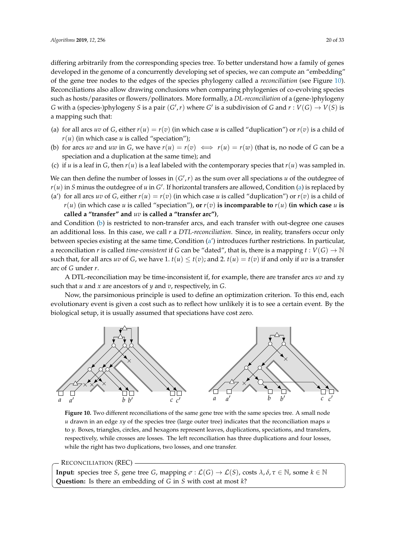differing arbitrarily from the corresponding species tree. To better understand how a family of genes developed in the genome of a concurrently developing set of species, we can compute an "embedding" of the gene tree nodes to the edges of the species phylogeny called a *reconciliation* (see Figure [10\)](#page-19-0). Reconciliations also allow drawing conclusions when comparing phylogenies of co-evolving species such as hosts/parasites or flowers/pollinators. More formally, a *DL-reconciliation* of a (gene-)phylogeny *G* with a (species-)phylogeny *S* is a pair  $(G', r)$  where *G'* is a subdivision of *G* and  $r : V(G) \to V(S)$  is a mapping such that:

- <span id="page-19-1"></span>(a) for all arcs *uv* of *G*, either  $r(u) = r(v)$  (in which case *u* is called "duplication") or  $r(v)$  is a child of  $r(u)$  (in which case *u* is called "speciation");
- <span id="page-19-2"></span>(b) for arcs *uv* and *uw* in *G*, we have  $r(u) = r(v) \iff r(u) = r(w)$  (that is, no node of *G* can be a speciation and a duplication at the same time); and
- (c) if *u* is a leaf in *G*, then  $r(u)$  is a leaf labeled with the contemporary species that  $r(u)$  was sampled in.

We can then define the number of losses in  $(G', r)$  as the sum over all speciations *u* of the outdegree of

<span id="page-19-3"></span> $r(u)$  in *S* minus the outdegree of  $u$  in  $G'$ . If horizontal transfers are allowed, Condition [\(a\)](#page-19-1) is replaced by

(a') for all arcs *uv* of *G*, either  $r(u) = r(v)$  (in which case *u* is called "duplication") or  $r(v)$  is a child of  $r(u)$  (in which case *u* is called "speciation"), **or**  $r(v)$  **is incomparable to**  $r(u)$  (**in which case** *u* **is called a "transfer" and** *uv* **is called a "transfer arc")**,

and Condition [\(b\)](#page-19-2) is restricted to non-transfer arcs, and each transfer with out-degree one causes an additional loss. In this case, we call *r* a *DTL-reconciliation*. Since, in reality, transfers occur only between species existing at the same time, Condition [\(a'](#page-19-3)) introduces further restrictions. In particular, a reconciliation *r* is called *time-consistent* if *G* can be "dated", that is, there is a mapping  $t: V(G) \to \mathbb{N}$ such that, for all arcs *uv* of *G*, we have 1.  $t(u) \le t(v)$ ; and 2.  $t(u) = t(v)$  if and only if *uv* is a transfer arc of *G* under *r*.

A DTL-reconciliation may be time-inconsistent if, for example, there are transfer arcs *uv* and *xy* such that *u* and *x* are ancestors of *y* and *v*, respectively, in *G*.

Now, the parsimonious principle is used to define an optimization criterion. To this end, each evolutionary event is given a cost such as to reflect how unlikely it is to see a certain event. By the biological setup, it is usually assumed that speciations have cost zero.

<span id="page-19-0"></span>

**Figure 10.** Two different reconciliations of the same gene tree with the same species tree. A small node *u* drawn in an edge *xy* of the species tree (large outer tree) indicates that the reconciliation maps *u* to *y*. Boxes, triangles, circles, and hexagons represent leaves, duplications, speciations, and transfers, respectively, while crosses are losses. The left reconciliation has three duplications and four losses, while the right has two duplications, two losses, and one transfer.

### RECONCILIATION (REC)

**Input:** species tree *S*, gene tree *G*, mapping  $\sigma$  :  $\mathcal{L}(G) \to \mathcal{L}(S)$ , costs  $\lambda, \delta, \tau \in \mathbb{N}$ , some  $k \in \mathbb{N}$ **Question:** Is there an embedding of *G* in *S* with cost at most *k*?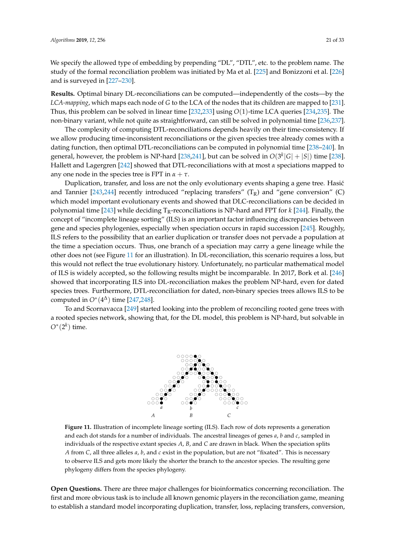We specify the allowed type of embedding by prepending "DL", "DTL", etc. to the problem name. The study of the formal reconciliation problem was initiated by Ma et al. [\[225\]](#page-30-23) and Bonizzoni et al. [\[226\]](#page-30-24) and is surveyed in [\[227](#page-30-25)[–230\]](#page-31-0).

**Results.** Optimal binary DL-reconciliations can be computed—independently of the costs—by the *LCA-mapping*, which maps each node of *G* to the LCA of the nodes that its children are mapped to [\[231\]](#page-31-1). Thus, this problem can be solved in linear time [\[232,](#page-31-2)[233\]](#page-31-3) using *O*(1)-time LCA queries [\[234](#page-31-4)[,235\]](#page-31-5). The non-binary variant, while not quite as straightforward, can still be solved in polynomial time [\[236](#page-31-6)[,237\]](#page-31-7).

The complexity of computing DTL-reconciliations depends heavily on their time-consistency. If we allow producing time-inconsistent reconciliations or the given species tree already comes with a dating function, then optimal DTL-reconciliations can be computed in polynomial time [\[238–](#page-31-8)[240\]](#page-31-9). In general, however, the problem is NP-hard [\[238,](#page-31-8)[241\]](#page-31-10), but can be solved in  $O(3^k|G|+|S|)$  time [\[238\]](#page-31-8). Hallett and Lagergren [\[242\]](#page-31-11) showed that DTL-reconciliations with at most *α* speciations mapped to any one node in the species tree is FPT in  $\alpha + \tau$ .

Duplication, transfer, and loss are not the only evolutionary events shaping a gene tree. Hasić and Tannier [\[243](#page-31-12)[,244\]](#page-31-13) recently introduced "replacing transfers"  $(T_R)$  and "gene conversion" (C) which model important evolutionary events and showed that DLC-reconciliations can be decided in polynomial time [\[243\]](#page-31-12) while deciding TR-reconciliations is NP-hard and FPT for *k* [\[244\]](#page-31-13). Finally, the concept of "incomplete lineage sorting" (ILS) is an important factor influencing discrepancies between gene and species phylogenies, especially when speciation occurs in rapid succession [\[245\]](#page-31-14). Roughly, ILS refers to the possibility that an earlier duplication or transfer does not pervade a population at the time a speciation occurs. Thus, one branch of a speciation may carry a gene lineage while the other does not (see Figure [11](#page-20-0) for an illustration). In DL-reconciliation, this scenario requires a loss, but this would not reflect the true evolutionary history. Unfortunately, no particular mathematical model of ILS is widely accepted, so the following results might be incomparable. In 2017, Bork et al. [\[246\]](#page-31-15) showed that incorporating ILS into DL-reconciliation makes the problem NP-hard, even for dated species trees. Furthermore, DTL-reconciliation for dated, non-binary species trees allows ILS to be computed in  $O^*(4^{\Delta})$  time [\[247,](#page-31-16)[248\]](#page-31-17).

<span id="page-20-0"></span>To and Scornavacca [\[249\]](#page-31-18) started looking into the problem of reconciling rooted gene trees with a rooted species network, showing that, for the DL model, this problem is NP-hard, but solvable in  $O^*(2^k)$  time.



**Figure 11.** Illustration of incomplete lineage sorting (ILS). Each row of dots represents a generation and each dot stands for a number of individuals. The ancestral lineages of genes *a*, *b* and *c*, sampled in individuals of the respective extant species *A*, *B*, and *C* are drawn in black. When the speciation splits *A* from *C*, all three alleles *a*, *b*, and *c* exist in the population, but are not "fixated". This is necessary to observe ILS and gets more likely the shorter the branch to the ancestor species. The resulting gene phylogeny differs from the species phylogeny.

**Open Questions.** There are three major challenges for bioinformatics concerning reconciliation. The first and more obvious task is to include all known genomic players in the reconciliation game, meaning to establish a standard model incorporating duplication, transfer, loss, replacing transfers, conversion,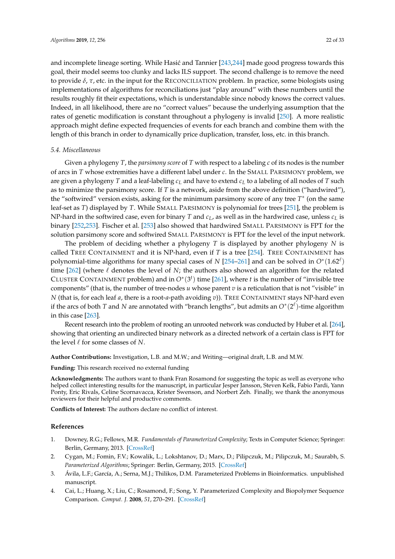and incomplete lineage sorting. While Hasić and Tannier [\[243,](#page-31-12)[244\]](#page-31-13) made good progress towards this goal, their model seems too clunky and lacks ILS support. The second challenge is to remove the need to provide *δ*, *τ*, etc. in the input for the RECONCILIATION problem. In practice, some biologists using implementations of algorithms for reconciliations just "play around" with these numbers until the results roughly fit their expectations, which is understandable since nobody knows the correct values. Indeed, in all likelihood, there are no "correct values" because the underlying assumption that the rates of genetic modification is constant throughout a phylogeny is invalid [\[250\]](#page-31-19). A more realistic approach might define expected frequencies of events for each branch and combine them with the length of this branch in order to dynamically price duplication, transfer, loss, etc. in this branch.

#### *5.4. Miscellaneous*

Given a phylogeny *T*, the *parsimony score* of *T* with respect to a labeling *c* of its nodes is the number of arcs in *T* whose extremities have a different label under *c*. In the SMALL PARSIMONY problem, we are given a phylogeny *T* and a leaf-labeling *c<sup>L</sup>* and have to extend *c<sup>L</sup>* to a labeling of all nodes of *T* such as to minimize the parsimony score. If *T* is a network, aside from the above definition ("hardwired"), the "softwired" version exists, asking for the minimum parsimony score of any tree *T*<sup>∗</sup> (on the same leaf-set as *T*) displayed by *T*. While SMALL PARSIMONY is polynomial for trees [\[251\]](#page-31-20), the problem is NP-hard in the softwired case, even for binary *T* and  $c<sub>L</sub>$ , as well as in the hardwired case, unless  $c<sub>L</sub>$  is binary [\[252](#page-31-21)[,253\]](#page-31-22). Fischer et al. [\[253\]](#page-31-22) also showed that hardwired SMALL PARSIMONY is FPT for the solution parsimony score and softwired SMALL PARSIMONY is FPT for the level of the input network.

The problem of deciding whether a phylogeny *T* is displayed by another phylogeny *N* is called TREE CONTAINMENT and it is NP-hard, even if *T* is a tree [\[254\]](#page-32-0). TREE CONTAINMENT has polynomial-time algorithms for many special cases of *N* [\[254](#page-32-0)[–261\]](#page-32-1) and can be solved in  $O^*(1.62^\ell)$ time  $[262]$  (where  $\ell$  denotes the level of *N*; the authors also showed an algorithm for the related CLUSTER CONTAINMENT problem) and in  $O^*(3^t)$  time [\[261\]](#page-32-1), where *t* is the number of "invisible tree components" (that is, the number of tree-nodes *u* whose parent *v* is a reticulation that is not "visible" in *N* (that is, for each leaf *a*, there is a root-*a*-path avoiding *v*)). TREE CONTAINMENT stays NP-hard even if the arcs of both *T* and *N* are annotated with "branch lengths", but admits an  $O^*(2^\ell)$ -time algorithm in this case [\[263\]](#page-32-3).

Recent research into the problem of rooting an unrooted network was conducted by Huber et al. [\[264\]](#page-32-4), showing that orienting an undirected binary network as a directed network of a certain class is FPT for the level  $\ell$  for some classes of *N*.

**Author Contributions:** Investigation, L.B. and M.W.; and Writing—original draft, L.B. and M.W.

**Funding:** This research received no external funding

**Acknowledgments:** The authors want to thank Fran Rosamond for suggesting the topic as well as everyone who helped collect interesting results for the manuscript, in particular Jesper Jansson, Steven Kelk, Fabio Pardi, Yann Ponty, Eric Rivals, Celine Scornavacca, Krister Swenson, and Norbert Zeh. Finally, we thank the anonymous reviewers for their helpful and productive comments.

**Conflicts of Interest:** The authors declare no conflict of interest.

#### **References**

- <span id="page-21-0"></span>1. Downey, R.G.; Fellows, M.R. *Fundamentals of Parameterized Complexity*; Texts in Computer Science; Springer: Berlin, Germany, 2013. [\[CrossRef\]](http://dx.doi.org/10.1007/978-1-4471-5559-1)
- <span id="page-21-1"></span>2. Cygan, M.; Fomin, F.V.; Kowalik, L.; Lokshtanov, D.; Marx, D.; Pilipczuk, M.; Pilipczuk, M.; Saurabh, S. *Parameterized Algorithms*; Springer: Berlin, Germany, 2015. [\[CrossRef\]](http://dx.doi.org/10.1007/978-3-319-21275-3)
- <span id="page-21-2"></span>3. Ávila, L.F.; García, A.; Serna, M.J.; Thilikos, D.M. Parameterized Problems in Bioinformatics. unpublished manuscript.
- 4. Cai, L.; Huang, X.; Liu, C.; Rosamond, F.; Song, Y. Parameterized Complexity and Biopolymer Sequence Comparison. *Comput. J.* **2008**, *51*, 270–291. [\[CrossRef\]](http://dx.doi.org/10.1093/comjnl/bxm035)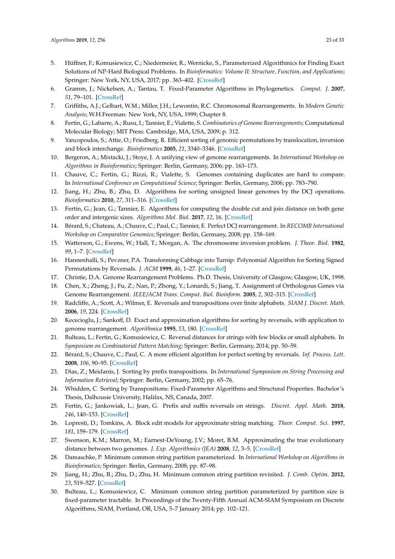- 5. Hüffner, F.; Komusiewicz, C.; Niedermeier, R.; Wernicke, S., Parameterized Algorithmics for Finding Exact Solutions of NP-Hard Biological Problems. In *Bioinformatics: Volume II: Structure, Function, and Applications*; Springer: New York, NY, USA, 2017; pp. 363–402. [\[CrossRef\]](http://dx.doi.org/10.1007/978-1-4939-6613-4_20)
- <span id="page-22-0"></span>6. Gramm, J.; Nickelsen, A.; Tantau, T. Fixed-Parameter Algorithms in Phylogenetics. *Comput. J.* **2007**, *51*, 79–101. [\[CrossRef\]](http://dx.doi.org/10.1093/comjnl/bxm049)
- <span id="page-22-1"></span>7. Griffiths, A.J.; Gelbart, W.M.; Miller, J.H.; Lewontin, R.C. Chromosomal Rearrangements. In *Modern Genetic Analysis*; W.H.Freeman: New York, NY, USA, 1999; Chapter 8.
- <span id="page-22-2"></span>8. Fertin, G.; Labarre, A.; Rusu, I.; Tannier, E.; Vialette, S. *Combinatorics of Genome Rearrangements*; Computational Molecular Biology; MIT Press: Cambridge, MA, USA, 2009; p. 312.
- <span id="page-22-3"></span>9. Yancopoulos, S.; Attie, O.; Friedberg, R. Efficient sorting of genomic permutations by translocation, inversion and block interchange. *Bioinformatics* **2005**, *21*, 3340–3346. [\[CrossRef\]](http://dx.doi.org/10.1093/bioinformatics/bti535)
- <span id="page-22-4"></span>10. Bergeron, A.; Mixtacki, J.; Stoye, J. A unifying view of genome rearrangements. In *International Workshop on Algorithms in Bioinformatics*; Springer: Berlin, Germany, 2006; pp. 163–173.
- <span id="page-22-5"></span>11. Chauve, C.; Fertin, G.; Rizzi, R.; Vialette, S. Genomes containing duplicates are hard to compare. In *International Conference on Computational Science*; Springer: Berlin, Germany, 2006; pp. 783–790.
- <span id="page-22-6"></span>12. Jiang, H.; Zhu, B.; Zhu, D. Algorithms for sorting unsigned linear genomes by the DCJ operations. *Bioinformatics* **2010**, *27*, 311–316. [\[CrossRef\]](http://dx.doi.org/10.1093/bioinformatics/btq674)
- <span id="page-22-7"></span>13. Fertin, G.; Jean, G.; Tannier, E. Algorithms for computing the double cut and join distance on both gene order and intergenic sizes. *Algorithms Mol. Biol.* **2017**, *12*, 16. [\[CrossRef\]](http://dx.doi.org/10.1186/s13015-017-0107-y)
- <span id="page-22-8"></span>14. Bérard, S.; Chateau, A.; Chauve, C.; Paul, C.; Tannier, E. Perfect DCJ rearrangement. In *RECOMB International Workshop on Comparative Genomics*; Springer: Berlin, Germany, 2008; pp. 158–169.
- <span id="page-22-9"></span>15. Watterson, G.; Ewens, W.; Hall, T.; Morgan, A. The chromosome inversion problem. *J. Theor. Biol.* **1982**, *99*, 1–7. [\[CrossRef\]](http://dx.doi.org/10.1016/0022-5193(82)90384-8)
- <span id="page-22-10"></span>16. Hannenhalli, S.; Pevzner, P.A. Transforming Cabbage into Turnip: Polynomial Algorithm for Sorting Signed Permutations by Reversals. *J. ACM* **1999**, *46*, 1–27. [\[CrossRef\]](http://dx.doi.org/10.1145/300515.300516)
- <span id="page-22-11"></span>17. Christie, D.A. Genome Rearrangement Problems. Ph.D. Thesis, University of Glasgow, Glasgow, UK, 1998.
- <span id="page-22-12"></span>18. Chen, X.; Zheng, J.; Fu, Z.; Nan, P.; Zhong, Y.; Lonardi, S.; Jiang, T. Assignment of Orthologous Genes via Genome Rearrangement. *IEEE/ACM Trans. Comput. Biol. Bioinform.* **2005**, *2*, 302–315. [\[CrossRef\]](http://dx.doi.org/10.1109/TCBB.2005.48)
- <span id="page-22-13"></span>19. Radcliffe, A.; Scott, A.; Wilmer, E. Reversals and transpositions over finite alphabets. *SIAM J. Discret. Math.* **2006**, *19*, 224. [\[CrossRef\]](http://dx.doi.org/10.1137/S0895480103433550)
- <span id="page-22-14"></span>20. Kececioglu, J.; Sankoff, D. Exact and approximation algorithms for sorting by reversals, with application to genome rearrangement. *Algorithmica* **1995**, *13*, 180. [\[CrossRef\]](http://dx.doi.org/10.1007/BF01188586)
- <span id="page-22-15"></span>21. Bulteau, L.; Fertin, G.; Komusiewicz, C. Reversal distances for strings with few blocks or small alphabets. In *Symposium on Combinatorial Pattern Matching*; Springer: Berlin, Germany, 2014; pp. 50–59.
- <span id="page-22-16"></span>22. Bérard, S.; Chauve, C.; Paul, C. A more efficient algorithm for perfect sorting by reversals. *Inf. Process. Lett.* **2008**, *106*, 90–95. [\[CrossRef\]](http://dx.doi.org/10.1016/j.ipl.2007.10.012)
- <span id="page-22-17"></span>23. Dias, Z.; Meidanis, J. Sorting by prefix transpositions. In *International Symposium on String Processing and Information Retrieval*; Springer: Berlin, Germany, 2002; pp. 65–76.
- <span id="page-22-18"></span>24. Whidden, C. Sorting by Transpositions: Fixed-Parameter Algorithms and Structural Properties. Bachelor's Thesis, Dalhousie University, Halifax, NS, Canada, 2007.
- <span id="page-22-19"></span>25. Fertin, G.; Jankowiak, L.; Jean, G. Prefix and suffix reversals on strings. *Discret. Appl. Math.* **2018**, *246*, 140–153. [\[CrossRef\]](http://dx.doi.org/10.1016/j.dam.2017.07.031)
- <span id="page-22-20"></span>26. Lopresti, D.; Tomkins, A. Block edit models for approximate string matching. *Theor. Comput. Sci.* **1997**, *181*, 159–179. [\[CrossRef\]](http://dx.doi.org/10.1016/S0304-3975(96)00268-X)
- <span id="page-22-21"></span>27. Swenson, K.M.; Marron, M.; Earnest-DeYoung, J.V.; Moret, B.M. Approximating the true evolutionary distance between two genomes. *J. Exp. Algorithmics (JEA)* **2008**, *12*, 3–5. [\[CrossRef\]](http://dx.doi.org/10.1145/1227161.1402297)
- <span id="page-22-22"></span>28. Damaschke, P. Minimum common string partition parameterized. In *International Workshop on Algorithms in Bioinformatics*; Springer: Berlin, Germany, 2008; pp. 87–98.
- <span id="page-22-23"></span>29. Jiang, H.; Zhu, B.; Zhu, D.; Zhu, H. Minimum common string partition revisited. *J. Comb. Optim.* **2012**, *23*, 519–527. [\[CrossRef\]](http://dx.doi.org/10.1007/s10878-010-9370-2)
- <span id="page-22-24"></span>30. Bulteau, L.; Komusiewicz, C. Minimum common string partition parameterized by partition size is fixed-parameter tractable. In Proceedings of the Twenty-Fifth Annual ACM-SIAM Symposium on Discrete Algorithms, SIAM, Portland, OR, USA, 5–7 January 2014; pp. 102–121.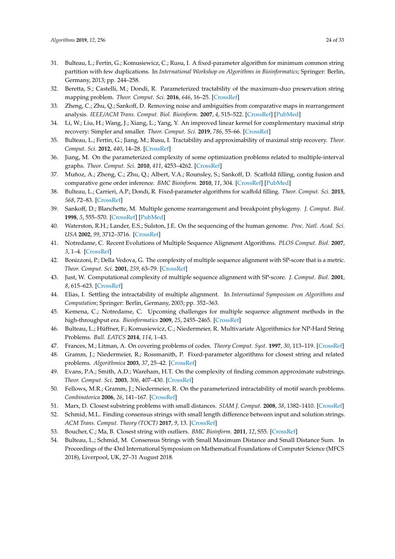- <span id="page-23-0"></span>31. Bulteau, L.; Fertin, G.; Komusiewicz, C.; Rusu, I. A fixed-parameter algorithm for minimum common string partition with few duplications. In *International Workshop on Algorithms in Bioinformatics*; Springer: Berlin, Germany, 2013; pp. 244–258.
- <span id="page-23-1"></span>32. Beretta, S.; Castelli, M.; Dondi, R. Parameterized tractability of the maximum-duo preservation string mapping problem. *Theor. Comput. Sci.* **2016**, *646*, 16–25. [\[CrossRef\]](http://dx.doi.org/10.1016/j.tcs.2016.07.011)
- <span id="page-23-2"></span>33. Zheng, C.; Zhu, Q.; Sankoff, D. Removing noise and ambiguities from comparative maps in rearrangement analysis. *IEEE/ACM Trans. Comput. Biol. Bioinform.* **2007**, *4*, 515–522. [\[CrossRef\]](http://dx.doi.org/10.1109/TCBB.2007.1075) [\[PubMed\]](http://www.ncbi.nlm.nih.gov/pubmed/17975263)
- <span id="page-23-3"></span>34. Li, W.; Liu, H.; Wang, J.; Xiang, L.; Yang, Y. An improved linear kernel for complementary maximal strip recovery: Simpler and smaller. *Theor. Comput. Sci.* **2019**, *786*, 55–66. [\[CrossRef\]](http://dx.doi.org/10.1016/j.tcs.2018.04.020)
- <span id="page-23-4"></span>35. Bulteau, L.; Fertin, G.; Jiang, M.; Rusu, I. Tractability and approximability of maximal strip recovery. *Theor. Comput. Sci.* **2012**, *440*, 14–28. [\[CrossRef\]](http://dx.doi.org/10.1016/j.tcs.2012.04.034)
- <span id="page-23-5"></span>36. Jiang, M. On the parameterized complexity of some optimization problems related to multiple-interval graphs. *Theor. Comput. Sci.* **2010**, *411*, 4253–4262. [\[CrossRef\]](http://dx.doi.org/10.1016/j.tcs.2010.09.001)
- <span id="page-23-6"></span>37. Muñoz, A.; Zheng, C.; Zhu, Q.; Albert, V.A.; Rounsley, S.; Sankoff, D. Scaffold filling, contig fusion and comparative gene order inference. *BMC Bioinform.* **2010**, *11*, 304. [\[CrossRef\]](http://dx.doi.org/10.1186/1471-2105-11-304) [\[PubMed\]](http://www.ncbi.nlm.nih.gov/pubmed/20525342)
- <span id="page-23-7"></span>38. Bulteau, L.; Carrieri, A.P.; Dondi, R. Fixed-parameter algorithms for scaffold filling. *Theor. Comput. Sci.* **2015**, *568*, 72–83. [\[CrossRef\]](http://dx.doi.org/10.1016/j.tcs.2014.12.005)
- <span id="page-23-8"></span>39. Sankoff, D.; Blanchette, M. Multiple genome rearrangement and breakpoint phylogeny. *J. Comput. Biol.* **1998**, *5*, 555–570. [\[CrossRef\]](http://dx.doi.org/10.1089/cmb.1998.5.555) [\[PubMed\]](http://www.ncbi.nlm.nih.gov/pubmed/9773350)
- <span id="page-23-9"></span>40. Waterston, R.H.; Lander, E.S.; Sulston, J.E. On the sequencing of the human genome. *Proc. Natl. Acad. Sci. USA* **2002**, *99*, 3712–3716. [\[CrossRef\]](http://dx.doi.org/10.1073/pnas.042692499)
- <span id="page-23-10"></span>41. Notredame, C. Recent Evolutions of Multiple Sequence Alignment Algorithms. *PLOS Comput. Biol.* **2007**, *3*, 1–4. [\[CrossRef\]](http://dx.doi.org/10.1371/journal.pcbi.0030123)
- <span id="page-23-11"></span>42. Bonizzoni, P.; Della Vedova, G. The complexity of multiple sequence alignment with SP-score that is a metric. *Theor. Comput. Sci.* **2001**, *259*, 63–79. [\[CrossRef\]](http://dx.doi.org/10.1016/S0304-3975(99)00324-2)
- 43. Just, W. Computational complexity of multiple sequence alignment with SP-score. *J. Comput. Biol.* **2001**, *8*, 615–623. [\[CrossRef\]](http://dx.doi.org/10.1089/106652701753307511)
- <span id="page-23-12"></span>44. Elias, I. Settling the intractability of multiple alignment. In *International Symposium on Algorithms and Computation*; Springer: Berlin, Germany, 2003; pp. 352–363.
- <span id="page-23-13"></span>45. Kemena, C.; Notredame, C. Upcoming challenges for multiple sequence alignment methods in the high-throughput era. *Bioinformatics* **2009**, *25*, 2455–2465. [\[CrossRef\]](http://dx.doi.org/10.1093/bioinformatics/btp452)
- <span id="page-23-14"></span>46. Bulteau, L.; Hüffner, F.; Komusiewicz, C.; Niedermeier, R. Multivariate Algorithmics for NP-Hard String Problems. *Bull. EATCS* **2014**, *114*, 1–43.
- <span id="page-23-15"></span>47. Frances, M.; Litman, A. On covering problems of codes. *Theory Comput. Syst.* **1997**, *30*, 113–119. [\[CrossRef\]](http://dx.doi.org/10.1007/BF02679443)
- <span id="page-23-16"></span>48. Gramm, J.; Niedermeier, R.; Rossmanith, P. Fixed-parameter algorithms for closest string and related problems. *Algorithmica* **2003**, *37*, 25–42. [\[CrossRef\]](http://dx.doi.org/10.1007/s00453-003-1028-3)
- <span id="page-23-17"></span>49. Evans, P.A.; Smith, A.D.; Wareham, H.T. On the complexity of finding common approximate substrings. *Theor. Comput. Sci.* **2003**, *306*, 407–430. [\[CrossRef\]](http://dx.doi.org/10.1016/S0304-3975(03)00320-7)
- 50. Fellows, M.R.; Gramm, J.; Niedermeier, R. On the parameterized intractability of motif search problems. *Combinatorica* **2006**, *26*, 141–167. [\[CrossRef\]](http://dx.doi.org/10.1007/s00493-006-0011-4)
- 51. Marx, D. Closest substring problems with small distances. *SIAM J. Comput.* **2008**, *38*, 1382–1410. [\[CrossRef\]](http://dx.doi.org/10.1137/060673898)
- <span id="page-23-18"></span>52. Schmid, M.L. Finding consensus strings with small length difference between input and solution strings. *ACM Trans. Comput. Theory (TOCT)* **2017**, *9*, 13. [\[CrossRef\]](http://dx.doi.org/10.1145/3110290)
- <span id="page-23-19"></span>53. Boucher, C.; Ma, B. Closest string with outliers. *BMC Bioinform.* **2011**, *12*, S55. [\[CrossRef\]](http://dx.doi.org/10.1186/1471-2105-12-S1-S55)
- <span id="page-23-20"></span>54. Bulteau, L.; Schmid, M. Consensus Strings with Small Maximum Distance and Small Distance Sum. In Proceedings of the 43rd International Symposium on Mathematical Foundations of Computer Science (MFCS 2018), Liverpool, UK, 27–31 August 2018.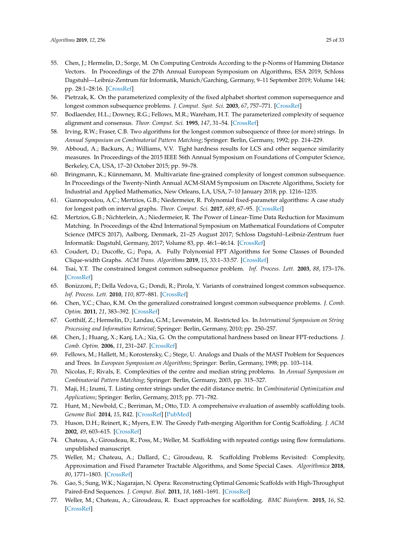- <span id="page-24-0"></span>55. Chen, J.; Hermelin, D.; Sorge, M. On Computing Centroids According to the p-Norms of Hamming Distance Vectors. In Proceedings of the 27th Annual European Symposium on Algorithms, ESA 2019, Schloss Dagstuhl—Leibniz-Zentrum für Informatik, Munich/Garching, Germany, 9–11 September 2019; Volume 144; pp. 28:1–28:16. [\[CrossRef\]](http://dx.doi.org/10.4230/LIPIcs.ESA.2019.28)
- <span id="page-24-1"></span>56. Pietrzak, K. On the parameterized complexity of the fixed alphabet shortest common supersequence and longest common subsequence problems. *J. Comput. Syst. Sci.* **2003**, *67*, 757–771. [\[CrossRef\]](http://dx.doi.org/10.1016/S0022-0000(03)00078-3)
- <span id="page-24-2"></span>57. Bodlaender, H.L.; Downey, R.G.; Fellows, M.R.; Wareham, H.T. The parameterized complexity of sequence alignment and consensus. *Theor. Comput. Sci.* **1995**, *147*, 31–54. [\[CrossRef\]](http://dx.doi.org/10.1016/0304-3975(94)00251-D)
- <span id="page-24-3"></span>58. Irving, R.W.; Fraser, C.B. Two algorithms for the longest common subsequence of three (or more) strings. In *Annual Symposium on Combinatorial Pattern Matching*; Springer: Berlin, Germany, 1992; pp. 214–229.
- <span id="page-24-4"></span>59. Abboud, A.; Backurs, A.; Williams, V.V. Tight hardness results for LCS and other sequence similarity measures. In Proceedings of the 2015 IEEE 56th Annual Symposium on Foundations of Computer Science, Berkeley, CA, USA, 17–20 October 2015; pp. 59–78.
- <span id="page-24-5"></span>60. Bringmann, K.; Künnemann, M. Multivariate fine-grained complexity of longest common subsequence. In Proceedings of the Twenty-Ninth Annual ACM-SIAM Symposium on Discrete Algorithms, Society for Industrial and Applied Mathematics, New Orleans, LA, USA, 7–10 January 2018; pp. 1216–1235.
- <span id="page-24-6"></span>61. Giannopoulou, A.C.; Mertzios, G.B.; Niedermeier, R. Polynomial fixed-parameter algorithms: A case study for longest path on interval graphs. *Theor. Comput. Sci.* **2017**, *689*, 67–95. [\[CrossRef\]](http://dx.doi.org/10.1016/j.tcs.2017.05.017)
- 62. Mertzios, G.B.; Nichterlein, A.; Niedermeier, R. The Power of Linear-Time Data Reduction for Maximum Matching. In Proceedings of the 42nd International Symposium on Mathematical Foundations of Computer Science (MFCS 2017), Aalborg, Denmark, 21–25 August 2017; Schloss Dagstuhl–Leibniz-Zentrum fuer Informatik: Dagstuhl, Germany, 2017; Volume 83, pp. 46:1–46:14. [\[CrossRef\]](http://dx.doi.org/10.4230/LIPIcs.MFCS.2017.46)
- <span id="page-24-7"></span>63. Coudert, D.; Ducoffe, G.; Popa, A. Fully Polynomial FPT Algorithms for Some Classes of Bounded Clique-width Graphs. *ACM Trans. Algorithms* **2019**, *15*, 33:1–33:57. [\[CrossRef\]](http://dx.doi.org/10.1145/3310228)
- <span id="page-24-8"></span>64. Tsai, Y.T. The constrained longest common subsequence problem. *Inf. Process. Lett.* **2003**, *88*, 173–176. [\[CrossRef\]](http://dx.doi.org/10.1016/j.ipl.2003.07.001)
- <span id="page-24-9"></span>65. Bonizzoni, P.; Della Vedova, G.; Dondi, R.; Pirola, Y. Variants of constrained longest common subsequence. *Inf. Process. Lett.* **2010**, *110*, 877–881. [\[CrossRef\]](http://dx.doi.org/10.1016/j.ipl.2010.07.015)
- <span id="page-24-10"></span>66. Chen, Y.C.; Chao, K.M. On the generalized constrained longest common subsequence problems. *J. Comb. Optim.* **2011**, *21*, 383–392. [\[CrossRef\]](http://dx.doi.org/10.1007/s10878-009-9262-5)
- <span id="page-24-11"></span>67. Gotthilf, Z.; Hermelin, D.; Landau, G.M.; Lewenstein, M. Restricted lcs. In *International Symposium on String Processing and Information Retrieval*; Springer: Berlin, Germany, 2010; pp. 250–257.
- <span id="page-24-12"></span>68. Chen, J.; Huang, X.; Kanj, I.A.; Xia, G. On the computational hardness based on linear FPT-reductions. *J. Comb. Optim.* **2006**, *11*, 231–247. [\[CrossRef\]](http://dx.doi.org/10.1007/s10878-006-7137-6)
- <span id="page-24-13"></span>69. Fellows, M.; Hallett, M.; Korostensky, C.; Stege, U. Analogs and Duals of the MAST Problem for Sequences and Trees. In *European Symposium on Algorithms*; Springer: Berlin, Germany, 1998; pp. 103–114.
- <span id="page-24-14"></span>70. Nicolas, F.; Rivals, E. Complexities of the centre and median string problems. In *Annual Symposium on Combinatorial Pattern Matching*; Springer: Berlin, Germany, 2003, pp. 315–327.
- <span id="page-24-15"></span>71. Maji, H.; Izumi, T. Listing center strings under the edit distance metric. In *Combinatorial Optimization and Applications*; Springer: Berlin, Germany, 2015; pp. 771–782.
- <span id="page-24-16"></span>72. Hunt, M.; Newbold, C.; Berriman, M.; Otto, T.D. A comprehensive evaluation of assembly scaffolding tools. *Genome Biol.* **2014**, *15*, R42. [\[CrossRef\]](http://dx.doi.org/10.1186/gb-2014-15-3-r42) [\[PubMed\]](http://www.ncbi.nlm.nih.gov/pubmed/24581555)
- <span id="page-24-17"></span>73. Huson, D.H.; Reinert, K.; Myers, E.W. The Greedy Path-merging Algorithm for Contig Scaffolding. *J. ACM* **2002**, *49*, 603–615. [\[CrossRef\]](http://dx.doi.org/10.1145/585265.585267)
- <span id="page-24-18"></span>74. Chateau, A.; Giroudeau, R.; Poss, M.; Weller, M. Scaffolding with repeated contigs using flow formulations. unpublished manuscript.
- <span id="page-24-19"></span>75. Weller, M.; Chateau, A.; Dallard, C.; Giroudeau, R. Scaffolding Problems Revisited: Complexity, Approximation and Fixed Parameter Tractable Algorithms, and Some Special Cases. *Algorithmica* **2018**, *80*, 1771–1803. [\[CrossRef\]](http://dx.doi.org/10.1007/s00453-018-0405-x)
- <span id="page-24-20"></span>76. Gao, S.; Sung, W.K.; Nagarajan, N. Opera: Reconstructing Optimal Genomic Scaffolds with High-Throughput Paired-End Sequences. *J. Comput. Biol.* **2011**, *18*, 1681–1691. [\[CrossRef\]](http://dx.doi.org/10.1089/cmb.2011.0170)
- <span id="page-24-21"></span>77. Weller, M.; Chateau, A.; Giroudeau, R. Exact approaches for scaffolding. *BMC Bioinform.* **2015**, *16*, S2. [\[CrossRef\]](http://dx.doi.org/10.1186/1471-2105-16-S14-S2)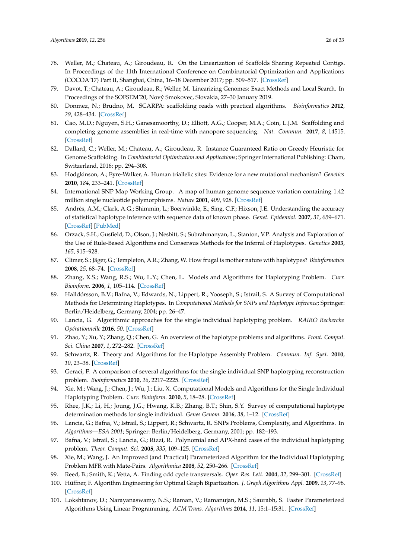- <span id="page-25-0"></span>78. Weller, M.; Chateau, A.; Giroudeau, R. On the Linearization of Scaffolds Sharing Repeated Contigs. In Proceedings of the 11th International Conference on Combinatorial Optimization and Applications (COCOA'17) Part II, Shanghai, China, 16–18 December 2017; pp. 509–517. [\[CrossRef\]](http://dx.doi.org/10.1007/978-3-319-71147-8_38)
- <span id="page-25-1"></span>79. Davot, T.; Chateau, A.; Giroudeau, R.; Weller, M. Linearizing Genomes: Exact Methods and Local Search. In Proceedings of the SOFSEM'20, Nový Smokovec, Slovakia, 27–30 January 2019.
- <span id="page-25-2"></span>80. Donmez, N.; Brudno, M. SCARPA: scaffolding reads with practical algorithms. *Bioinformatics* **2012**, *29*, 428–434. [\[CrossRef\]](http://dx.doi.org/10.1093/bioinformatics/bts716)
- <span id="page-25-3"></span>81. Cao, M.D.; Nguyen, S.H.; Ganesamoorthy, D.; Elliott, A.G.; Cooper, M.A.; Coin, L.J.M. Scaffolding and completing genome assemblies in real-time with nanopore sequencing. *Nat. Commun.* **2017**, *8*, 14515. [\[CrossRef\]](http://dx.doi.org/10.1038/ncomms14515)
- <span id="page-25-4"></span>82. Dallard, C.; Weller, M.; Chateau, A.; Giroudeau, R. Instance Guaranteed Ratio on Greedy Heuristic for Genome Scaffolding. In *Combinatorial Optimization and Applications*; Springer International Publishing: Cham, Switzerland, 2016; pp. 294–308.
- <span id="page-25-5"></span>83. Hodgkinson, A.; Eyre-Walker, A. Human triallelic sites: Evidence for a new mutational mechanism? *Genetics* **2010**, *184*, 233–241. [\[CrossRef\]](http://dx.doi.org/10.1534/genetics.109.110510)
- <span id="page-25-6"></span>84. International SNP Map Working Group. A map of human genome sequence variation containing 1.42 million single nucleotide polymorphisms. *Nature* **2001**, *409*, 928. [\[CrossRef\]](http://dx.doi.org/10.1038/35057149)
- <span id="page-25-7"></span>85. Andrés, A.M.; Clark, A.G.; Shimmin, L.; Boerwinkle, E.; Sing, C.F.; Hixson, J.E. Understanding the accuracy of statistical haplotype inference with sequence data of known phase. *Genet. Epidemiol.* **2007**, *31*, 659–671. [\[CrossRef\]](http://dx.doi.org/10.1002/gepi.20185) [\[PubMed\]](http://www.ncbi.nlm.nih.gov/pubmed/17922479)
- <span id="page-25-8"></span>86. Orzack, S.H.; Gusfield, D.; Olson, J.; Nesbitt, S.; Subrahmanyan, L.; Stanton, V.P. Analysis and Exploration of the Use of Rule-Based Algorithms and Consensus Methods for the Inferral of Haplotypes. *Genetics* **2003**, *165*, 915–928.
- <span id="page-25-9"></span>87. Climer, S.; Jäger, G.; Templeton, A.R.; Zhang, W. How frugal is mother nature with haplotypes? *Bioinformatics* **2008**, *25*, 68–74. [\[CrossRef\]](http://dx.doi.org/10.1093/bioinformatics/btn572)
- <span id="page-25-10"></span>88. Zhang, X.S.; Wang, R.S.; Wu, L.Y.; Chen, L. Models and Algorithms for Haplotyping Problem. *Curr. Bioinform.* **2006**, *1*, 105–114. [\[CrossRef\]](http://dx.doi.org/10.2174/157489306775330570)
- 89. Halldórsson, B.V.; Bafna, V.; Edwards, N.; Lippert, R.; Yooseph, S.; Istrail, S. A Survey of Computational Methods for Determining Haplotypes. In *Computational Methods for SNPs and Haplotype Inference*; Springer: Berlin/Heidelberg, Germany, 2004; pp. 26–47.
- 90. Lancia, G. Algorithmic approaches for the single individual haplotyping problem. *RAIRO Recherche Opérationnelle* **2016**, *50*. [\[CrossRef\]](http://dx.doi.org/10.1051/ro/2015037)
- 91. Zhao, Y.; Xu, Y.; Zhang, Q.; Chen, G. An overview of the haplotype problems and algorithms. *Front. Comput. Sci. China* **2007**, *1*, 272–282. [\[CrossRef\]](http://dx.doi.org/10.1007/s11704-007-0027-y)
- 92. Schwartz, R. Theory and Algorithms for the Haplotype Assembly Problem. *Commun. Inf. Syst.* **2010**, *10*, 23–38. [\[CrossRef\]](http://dx.doi.org/10.4310/CIS.2010.v10.n1.a2)
- 93. Geraci, F. A comparison of several algorithms for the single individual SNP haplotyping reconstruction problem. *Bioinformatics* **2010**, *26*, 2217–2225. [\[CrossRef\]](http://dx.doi.org/10.1093/bioinformatics/btq411)
- 94. Xie, M.; Wang, J.; Chen, J.; Wu, J.; Liu, X. Computational Models and Algorithms for the Single Individual Haplotyping Problem. *Curr. Bioinform.* **2010**, *5*, 18–28. [\[CrossRef\]](http://dx.doi.org/10.2174/157489310790596411)
- <span id="page-25-11"></span>95. Rhee, J.K.; Li, H.; Joung, J.G.; Hwang, K.B.; Zhang, B.T.; Shin, S.Y. Survey of computational haplotype determination methods for single individual. *Genes Genom.* **2016**, *38*, 1–12. [\[CrossRef\]](http://dx.doi.org/10.1007/s13258-015-0342-x)
- <span id="page-25-12"></span>96. Lancia, G.; Bafna, V.; Istrail, S.; Lippert, R.; Schwartz, R. SNPs Problems, Complexity, and Algorithms. In *Algorithms—ESA 2001*; Springer: Berlin/Heidelberg, Germany, 2001; pp. 182–193.
- <span id="page-25-13"></span>97. Bafna, V.; Istrail, S.; Lancia, G.; Rizzi, R. Polynomial and APX-hard cases of the individual haplotyping problem. *Theor. Comput. Sci.* **2005**, *335*, 109–125. [\[CrossRef\]](http://dx.doi.org/10.1016/j.tcs.2004.12.017)
- <span id="page-25-14"></span>98. Xie, M.; Wang, J. An Improved (and Practical) Parameterized Algorithm for the Individual Haplotyping Problem MFR with Mate-Pairs. *Algorithmica* **2008**, *52*, 250–266. [\[CrossRef\]](http://dx.doi.org/10.1007/s00453-007-9150-2)
- <span id="page-25-15"></span>99. Reed, B.; Smith, K.; Vetta, A. Finding odd cycle transversals. *Oper. Res. Lett.* **2004**, *32*, 299–301. [\[CrossRef\]](http://dx.doi.org/10.1016/j.orl.2003.10.009)
- <span id="page-25-16"></span>100. Hüffner, F. Algorithm Engineering for Optimal Graph Bipartization. *J. Graph Algorithms Appl.* **2009**, *13*, 77–98. [\[CrossRef\]](http://dx.doi.org/10.7155/jgaa.00177)
- <span id="page-25-17"></span>101. Lokshtanov, D.; Narayanaswamy, N.S.; Raman, V.; Ramanujan, M.S.; Saurabh, S. Faster Parameterized Algorithms Using Linear Programming. *ACM Trans. Algorithms* **2014**, *11*, 15:1–15:31. [\[CrossRef\]](http://dx.doi.org/10.1145/2566616)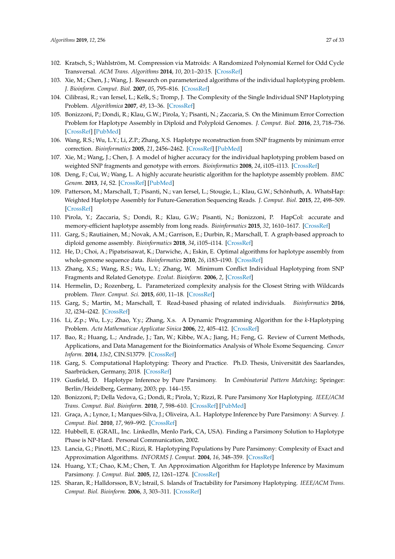- <span id="page-26-0"></span>102. Kratsch, S.; Wahlström, M. Compression via Matroids: A Randomized Polynomial Kernel for Odd Cycle Transversal. *ACM Trans. Algorithms* **2014**, *10*, 20:1–20:15. [\[CrossRef\]](http://dx.doi.org/10.1145/2635810)
- <span id="page-26-1"></span>103. Xie, M.; Chen, J.; Wang, J. Research on parameterized algorithms of the individual haplotyping problem. *J. Bioinform. Comput. Biol.* **2007**, *05*, 795–816. [\[CrossRef\]](http://dx.doi.org/10.1142/S0219720007002710)
- <span id="page-26-2"></span>104. Cilibrasi, R.; van Iersel, L.; Kelk, S.; Tromp, J. The Complexity of the Single Individual SNP Haplotyping Problem. *Algorithmica* **2007**, *49*, 13–36. [\[CrossRef\]](http://dx.doi.org/10.1007/s00453-007-0029-z)
- <span id="page-26-3"></span>105. Bonizzoni, P.; Dondi, R.; Klau, G.W.; Pirola, Y.; Pisanti, N.; Zaccaria, S. On the Minimum Error Correction Problem for Haplotype Assembly in Diploid and Polyploid Genomes. *J. Comput. Biol.* **2016**, *23*, 718–736. [\[CrossRef\]](http://dx.doi.org/10.1089/cmb.2015.0220) [\[PubMed\]](http://www.ncbi.nlm.nih.gov/pubmed/27280382)
- <span id="page-26-4"></span>106. Wang, R.S.; Wu, L.Y.; Li, Z.P.; Zhang, X.S. Haplotype reconstruction from SNP fragments by minimum error correction. *Bioinformatics* **2005**, *21*, 2456–2462. [\[CrossRef\]](http://dx.doi.org/10.1093/bioinformatics/bti352) [\[PubMed\]](http://www.ncbi.nlm.nih.gov/pubmed/15731204)
- <span id="page-26-5"></span>107. Xie, M.; Wang, J.; Chen, J. A model of higher accuracy for the individual haplotyping problem based on weighted SNP fragments and genotype with errors. *Bioinformatics* **2008**, *24*, i105–i113. [\[CrossRef\]](http://dx.doi.org/10.1093/bioinformatics/btn147)
- <span id="page-26-6"></span>108. Deng, F.; Cui, W.; Wang, L. A highly accurate heuristic algorithm for the haplotype assembly problem. *BMC Genom.* **2013**, *14*, S2. [\[CrossRef\]](http://dx.doi.org/10.1186/1471-2164-14-S2-S2) [\[PubMed\]](http://www.ncbi.nlm.nih.gov/pubmed/23445458)
- <span id="page-26-7"></span>109. Patterson, M.; Marschall, T.; Pisanti, N.; van Iersel, L.; Stougie, L.; Klau, G.W.; Schönhuth, A. WhatsHap: Weighted Haplotype Assembly for Future-Generation Sequencing Reads. *J. Comput. Biol.* **2015**, *22*, 498–509. [\[CrossRef\]](http://dx.doi.org/10.1089/cmb.2014.0157)
- <span id="page-26-8"></span>110. Pirola, Y.; Zaccaria, S.; Dondi, R.; Klau, G.W.; Pisanti, N.; Bonizzoni, P. HapCol: accurate and memory-efficient haplotype assembly from long reads. *Bioinformatics* **2015**, *32*, 1610–1617. [\[CrossRef\]](http://dx.doi.org/10.1093/bioinformatics/btv495)
- <span id="page-26-9"></span>111. Garg, S.; Rautiainen, M.; Novak, A.M.; Garrison, E.; Durbin, R.; Marschall, T. A graph-based approach to diploid genome assembly. *Bioinformatics* **2018**, *34*, i105–i114. [\[CrossRef\]](http://dx.doi.org/10.1093/bioinformatics/bty279)
- <span id="page-26-10"></span>112. He, D.; Choi, A.; Pipatsrisawat, K.; Darwiche, A.; Eskin, E. Optimal algorithms for haplotype assembly from whole-genome sequence data. *Bioinformatics* **2010**, *26*, i183–i190. [\[CrossRef\]](http://dx.doi.org/10.1093/bioinformatics/btq215)
- <span id="page-26-11"></span>113. Zhang, X.S.; Wang, R.S.; Wu, L.Y.; Zhang, W. Minimum Conflict Individual Haplotyping from SNP Fragments and Related Genotype. *Evolut. Bioinform.* **2006**, *2*, [\[CrossRef\]](http://dx.doi.org/10.1177/117693430600200032)
- <span id="page-26-12"></span>114. Hermelin, D.; Rozenberg, L. Parameterized complexity analysis for the Closest String with Wildcards problem. *Theor. Comput. Sci.* **2015**, *600*, 11–18. [\[CrossRef\]](http://dx.doi.org/10.1016/j.tcs.2015.06.043)
- <span id="page-26-13"></span>115. Garg, S.; Martin, M.; Marschall, T. Read-based phasing of related individuals. *Bioinformatics* **2016**, *32*, i234–i242. [\[CrossRef\]](http://dx.doi.org/10.1093/bioinformatics/btw276)
- <span id="page-26-14"></span>116. Li, Z.p.; Wu, L.y.; Zhao, Y.y.; Zhang, X.s. A Dynamic Programming Algorithm for the *k*-Haplotyping Problem. *Acta Mathematicae Applicatae Sinica* **2006**, *22*, 405–412. [\[CrossRef\]](http://dx.doi.org/10.1007/s10255-006-0315-6)
- <span id="page-26-15"></span>117. Bao, R.; Huang, L.; Andrade, J.; Tan, W.; Kibbe, W.A.; Jiang, H.; Feng, G. Review of Current Methods, Applications, and Data Management for the Bioinformatics Analysis of Whole Exome Sequencing. *Cancer Inform.* **2014**, *13s2*, CIN.S13779. [\[CrossRef\]](http://dx.doi.org/10.4137/CIN.S13779)
- <span id="page-26-16"></span>118. Garg, S. Computational Haplotyping: Theory and Practice. Ph.D. Thesis, Universität des Saarlandes, Saarbrücken, Germany, 2018. [\[CrossRef\]](http://dx.doi.org/10.22028/D291-27252)
- <span id="page-26-17"></span>119. Gusfield, D. Haplotype Inference by Pure Parsimony. In *Combinatorial Pattern Matching*; Springer: Berlin/Heidelberg, Germany, 2003; pp. 144–155.
- <span id="page-26-21"></span>120. Bonizzoni, P.; Della Vedova, G.; Dondi, R.; Pirola, Y.; Rizzi, R. Pure Parsimony Xor Haplotyping. *IEEE/ACM Trans. Comput. Biol. Bioinform.* **2010**, *7*, 598–610. [\[CrossRef\]](http://dx.doi.org/10.1109/TCBB.2010.52) [\[PubMed\]](http://www.ncbi.nlm.nih.gov/pubmed/20498511)
- <span id="page-26-18"></span>121. Graça, A.; Lynce, I.; Marques-Silva, J.; Oliveira, A.L. Haplotype Inference by Pure Parsimony: A Survey. *J. Comput. Biol.* **2010**, *17*, 969–992. [\[CrossRef\]](http://dx.doi.org/10.1089/cmb.2009.0101)
- <span id="page-26-19"></span>122. Hubbell, E. (GRAIL, Inc. LinkedIn, Menlo Park, CA, USA). Finding a Parsimony Solution to Haplotype Phase is NP-Hard. Personal Communication, 2002.
- 123. Lancia, G.; Pinotti, M.C.; Rizzi, R. Haplotyping Populations by Pure Parsimony: Complexity of Exact and Approximation Algorithms. *INFORMS J. Comput.* **2004**, *16*, 348–359. [\[CrossRef\]](http://dx.doi.org/10.1287/ijoc.1040.0085)
- 124. Huang, Y.T.; Chao, K.M.; Chen, T. An Approximation Algorithm for Haplotype Inference by Maximum Parsimony. *J. Comput. Biol.* **2005**, *12*, 1261–1274. [\[CrossRef\]](http://dx.doi.org/10.1089/cmb.2005.12.1261)
- <span id="page-26-20"></span>125. Sharan, R.; Halldorsson, B.V.; Istrail, S. Islands of Tractability for Parsimony Haplotyping. *IEEE/ACM Trans. Comput. Biol. Bioinform.* **2006**, *3*, 303–311. [\[CrossRef\]](http://dx.doi.org/10.1109/TCBB.2006.40)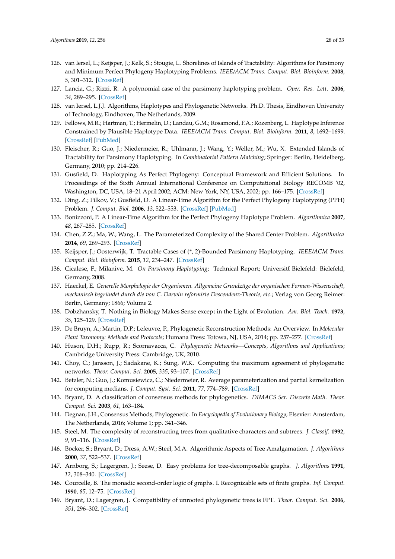- <span id="page-27-0"></span>126. van Iersel, L.; Keijsper, J.; Kelk, S.; Stougie, L. Shorelines of Islands of Tractability: Algorithms for Parsimony and Minimum Perfect Phylogeny Haplotyping Problems. *IEEE/ACM Trans. Comput. Biol. Bioinform.* **2008**, *5*, 301–312. [\[CrossRef\]](http://dx.doi.org/10.1109/TCBB.2007.70232)
- <span id="page-27-1"></span>127. Lancia, G.; Rizzi, R. A polynomial case of the parsimony haplotyping problem. *Oper. Res. Lett.* **2006**, *34*, 289–295. [\[CrossRef\]](http://dx.doi.org/10.1016/j.orl.2005.05.007)
- <span id="page-27-2"></span>128. van Iersel, L.J.J. Algorithms, Haplotypes and Phylogenetic Networks. Ph.D. Thesis, Eindhoven University of Technology, Eindhoven, The Netherlands, 2009.
- <span id="page-27-3"></span>129. Fellows, M.R.; Hartman, T.; Hermelin, D.; Landau, G.M.; Rosamond, F.A.; Rozenberg, L. Haplotype Inference Constrained by Plausible Haplotype Data. *IEEE/ACM Trans. Comput. Biol. Bioinform.* **2011**, *8*, 1692–1699. [\[CrossRef\]](http://dx.doi.org/10.1109/TCBB.2010.72) [\[PubMed\]](http://www.ncbi.nlm.nih.gov/pubmed/20733241)
- <span id="page-27-4"></span>130. Fleischer, R.; Guo, J.; Niedermeier, R.; Uhlmann, J.; Wang, Y.; Weller, M.; Wu, X. Extended Islands of Tractability for Parsimony Haplotyping. In *Combinatorial Pattern Matching*; Springer: Berlin, Heidelberg, Germany, 2010; pp. 214–226.
- <span id="page-27-5"></span>131. Gusfield, D. Haplotyping As Perfect Phylogeny: Conceptual Framework and Efficient Solutions. In Proceedings of the Sixth Annual International Conference on Computational Biology RECOMB '02, Washington, DC, USA, 18–21 April 2002; ACM: New York, NY, USA, 2002; pp. 166–175. [\[CrossRef\]](http://dx.doi.org/10.1145/565196.565218)
- <span id="page-27-6"></span>132. Ding, Z.; Filkov, V.; Gusfield, D. A Linear-Time Algorithm for the Perfect Phylogeny Haplotyping (PPH) Problem. *J. Comput. Biol.* **2006**, *13*, 522–553. [\[CrossRef\]](http://dx.doi.org/10.1089/cmb.2006.13.522) [\[PubMed\]](http://www.ncbi.nlm.nih.gov/pubmed/16597255)
- <span id="page-27-7"></span>133. Bonizzoni, P. A Linear-Time Algorithm for the Perfect Phylogeny Haplotype Problem. *Algorithmica* **2007**, *48*, 267–285. [\[CrossRef\]](http://dx.doi.org/10.1007/s00453-007-0094-3)
- <span id="page-27-8"></span>134. Chen, Z.Z.; Ma, W.; Wang, L. The Parameterized Complexity of the Shared Center Problem. *Algorithmica* **2014**, *69*, 269–293. [\[CrossRef\]](http://dx.doi.org/10.1007/s00453-012-9730-7)
- <span id="page-27-9"></span>135. Keijsper, J.; Oosterwijk, T. Tractable Cases of (\*, 2)-Bounded Parsimony Haplotyping. *IEEE/ACM Trans. Comput. Biol. Bioinform.* **2015**, *12*, 234–247. [\[CrossRef\]](http://dx.doi.org/10.1109/TCBB.2014.2352031)
- <span id="page-27-10"></span>136. Cicalese, F.; Milanivc, M. *On Parsimony Haplotyping*; Technical Report; Universitt Bielefeld: Bielefeld, Germany, 2008.
- <span id="page-27-11"></span>137. Haeckel, E. *Generelle Morphologie der Organismen. Allgemeine Grundzüge der organischen Formen-Wissenschaft, mechanisch begründet durch die von C. Darwin reformirte Descendenz-Theorie, etc.*; Verlag von Georg Reimer: Berlin, Germany; 1866; Volume 2.
- <span id="page-27-12"></span>138. Dobzhansky, T. Nothing in Biology Makes Sense except in the Light of Evolution. *Am. Biol. Teach.* **1973**, *35*, 125–129. [\[CrossRef\]](http://dx.doi.org/10.2307/4444260)
- <span id="page-27-13"></span>139. De Bruyn, A.; Martin, D.P.; Lefeuvre, P., Phylogenetic Reconstruction Methods: An Overview. In *Molecular Plant Taxonomy: Methods and Protocols*; Humana Press: Totowa, NJ, USA, 2014; pp. 257–277. [\[CrossRef\]](http://dx.doi.org/10.1007/978-1-62703-767-9_13)
- <span id="page-27-14"></span>140. Huson, D.H.; Rupp, R.; Scornavacca, C. *Phylogenetic Networks—Concepts, Algorithms and Applications*; Cambridge University Press: Cambridge, UK, 2010.
- <span id="page-27-15"></span>141. Choy, C.; Jansson, J.; Sadakane, K.; Sung, W.K. Computing the maximum agreement of phylogenetic networks. *Theor. Comput. Sci.* **2005**, *335*, 93–107. [\[CrossRef\]](http://dx.doi.org/10.1016/j.tcs.2004.12.012)
- <span id="page-27-16"></span>142. Betzler, N.; Guo, J.; Komusiewicz, C.; Niedermeier, R. Average parameterization and partial kernelization for computing medians. *J. Comput. Syst. Sci.* **2011**, *77*, 774–789. [\[CrossRef\]](http://dx.doi.org/10.1016/j.jcss.2010.07.005)
- <span id="page-27-17"></span>143. Bryant, D. A classification of consensus methods for phylogenetics. *DIMACS Ser. Discrete Math. Theor. Comput. Sci.* **2003**, *61*, 163–184.
- <span id="page-27-18"></span>144. Degnan, J.H., Consensus Methods, Phylogenetic. In *Encyclopedia of Evolutionary Biology*; Elsevier: Amsterdam, The Netherlands, 2016; Volume 1; pp. 341–346.
- <span id="page-27-19"></span>145. Steel, M. The complexity of reconstructing trees from qualitative characters and subtrees. *J. Classif.* **1992**, *9*, 91–116. [\[CrossRef\]](http://dx.doi.org/10.1007/BF02618470)
- <span id="page-27-20"></span>146. Böcker, S.; Bryant, D.; Dress, A.W.; Steel, M.A. Algorithmic Aspects of Tree Amalgamation. *J. Algorithms* **2000**, *37*, 522–537. [\[CrossRef\]](http://dx.doi.org/10.1006/jagm.2000.1116)
- <span id="page-27-21"></span>147. Arnborg, S.; Lagergren, J.; Seese, D. Easy problems for tree-decomposable graphs. *J. Algorithms* **1991**, *12*, 308–340. [\[CrossRef\]](http://dx.doi.org/10.1016/0196-6774(91)90006-K)
- <span id="page-27-22"></span>148. Courcelle, B. The monadic second-order logic of graphs. I. Recognizable sets of finite graphs. *Inf. Comput.* **1990**, *85*, 12–75. [\[CrossRef\]](http://dx.doi.org/10.1016/0890-5401(90)90043-H)
- <span id="page-27-23"></span>149. Bryant, D.; Lagergren, J. Compatibility of unrooted phylogenetic trees is FPT. *Theor. Comput. Sci.* **2006**, *351*, 296–302. [\[CrossRef\]](http://dx.doi.org/10.1016/j.tcs.2005.10.033)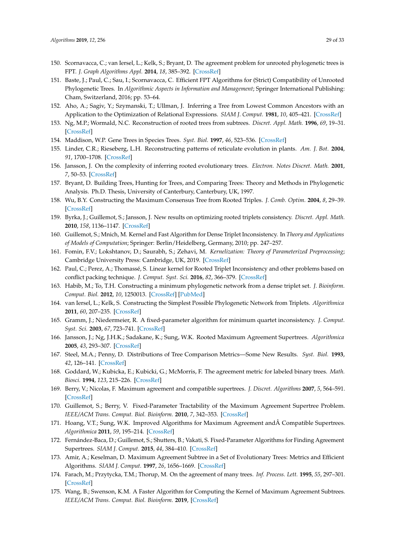- <span id="page-28-0"></span>150. Scornavacca, C.; van Iersel, L.; Kelk, S.; Bryant, D. The agreement problem for unrooted phylogenetic trees is FPT. *J. Graph Algorithms Appl.* **2014**, *18*, 385–392. [\[CrossRef\]](http://dx.doi.org/10.7155/jgaa.00327)
- <span id="page-28-1"></span>151. Baste, J.; Paul, C.; Sau, I.; Scornavacca, C. Efficient FPT Algorithms for (Strict) Compatibility of Unrooted Phylogenetic Trees. In *Algorithmic Aspects in Information and Management*; Springer International Publishing: Cham, Switzerland, 2016; pp. 53–64.
- <span id="page-28-2"></span>152. Aho, A.; Sagiv, Y.; Szymanski, T.; Ullman, J. Inferring a Tree from Lowest Common Ancestors with an Application to the Optimization of Relational Expressions. *SIAM J. Comput.* **1981**, *10*, 405–421. [\[CrossRef\]](http://dx.doi.org/10.1137/0210030)
- <span id="page-28-3"></span>153. Ng, M.P.; Wormald, N.C. Reconstruction of rooted trees from subtrees. *Discret. Appl. Math.* **1996**, *69*, 19–31. [\[CrossRef\]](http://dx.doi.org/10.1016/0166-218X(95)00074-2)
- <span id="page-28-4"></span>154. Maddison, W.P. Gene Trees in Species Trees. *Syst. Biol.* **1997**, *46*, 523–536. [\[CrossRef\]](http://dx.doi.org/10.1093/sysbio/46.3.523)
- <span id="page-28-5"></span>155. Linder, C.R.; Rieseberg, L.H. Reconstructing patterns of reticulate evolution in plants. *Am. J. Bot.* **2004**, *91*, 1700–1708. [\[CrossRef\]](http://dx.doi.org/10.3732/ajb.91.10.1700)
- <span id="page-28-6"></span>156. Jansson, J. On the complexity of inferring rooted evolutionary trees. *Electron. Notes Discret. Math.* **2001**, *7*, 50–53. [\[CrossRef\]](http://dx.doi.org/10.1016/S1571-0653(04)00222-7)
- <span id="page-28-22"></span>157. Bryant, D. Building Trees, Hunting for Trees, and Comparing Trees: Theory and Methods in Phylogenetic Analysis. Ph.D. Thesis, University of Canterbury, Canterbury, UK, 1997.
- <span id="page-28-7"></span>158. Wu, B.Y. Constructing the Maximum Consensus Tree from Rooted Triples. *J. Comb. Optim.* **2004**, *8*, 29–39. [\[CrossRef\]](http://dx.doi.org/10.1023/B:JOCO.0000021936.04215.68)
- <span id="page-28-8"></span>159. Byrka, J.; Guillemot, S.; Jansson, J. New results on optimizing rooted triplets consistency. *Discret. Appl. Math.* **2010**, *158*, 1136–1147. [\[CrossRef\]](http://dx.doi.org/10.1016/j.dam.2010.03.004)
- <span id="page-28-9"></span>160. Guillemot, S.; Mnich, M. Kernel and Fast Algorithm for Dense Triplet Inconsistency. In *Theory and Applications of Models of Computation*; Springer: Berlin/Heidelberg, Germany, 2010; pp. 247–257.
- <span id="page-28-10"></span>161. Fomin, F.V.; Lokshtanov, D.; Saurabh, S.; Zehavi, M. *Kernelization: Theory of Parameterized Preprocessing*; Cambridge University Press: Cambridge, UK, 2019. [\[CrossRef\]](http://dx.doi.org/10.1017/9781107415157)
- <span id="page-28-11"></span>162. Paul, C.; Perez, A.; Thomassé, S. Linear kernel for Rooted Triplet Inconsistency and other problems based on conflict packing technique. *J. Comput. Syst. Sci.* **2016**, *82*, 366–379. [\[CrossRef\]](http://dx.doi.org/10.1016/j.jcss.2015.08.002)
- <span id="page-28-12"></span>163. Habib, M.; To, T.H. Constructing a minimum phylogenetic network from a dense triplet set. *J. Bioinform. Comput. Biol.* **2012**, *10*, 1250013. [\[CrossRef\]](http://dx.doi.org/10.1142/S0219720012500138) [\[PubMed\]](http://www.ncbi.nlm.nih.gov/pubmed/22849368)
- <span id="page-28-13"></span>164. van Iersel, L.; Kelk, S. Constructing the Simplest Possible Phylogenetic Network from Triplets. *Algorithmica* **2011**, *60*, 207–235. [\[CrossRef\]](http://dx.doi.org/10.1007/s00453-009-9333-0)
- <span id="page-28-14"></span>165. Gramm, J.; Niedermeier, R. A fixed-parameter algorithm for minimum quartet inconsistency. *J. Comput. Syst. Sci.* **2003**, *67*, 723–741. [\[CrossRef\]](http://dx.doi.org/10.1016/S0022-0000(03)00077-1)
- <span id="page-28-15"></span>166. Jansson, J.; Ng, J.H.K.; Sadakane, K.; Sung, W.K. Rooted Maximum Agreement Supertrees. *Algorithmica* **2005**, *43*, 293–307. [\[CrossRef\]](http://dx.doi.org/10.1007/s00453-004-1147-5)
- 167. Steel, M.A.; Penny, D. Distributions of Tree Comparison Metrics—Some New Results. *Syst. Biol.* **1993**, *42*, 126–141. [\[CrossRef\]](http://dx.doi.org/10.1093/sysbio/42.2.126)
- <span id="page-28-16"></span>168. Goddard, W.; Kubicka, E.; Kubicki, G.; McMorris, F. The agreement metric for labeled binary trees. *Math. Biosci.* **1994**, *123*, 215–226. [\[CrossRef\]](http://dx.doi.org/10.1016/0025-5564(94)90012-4)
- <span id="page-28-17"></span>169. Berry, V.; Nicolas, F. Maximum agreement and compatible supertrees. *J. Discret. Algorithms* **2007**, *5*, 564–591. [\[CrossRef\]](http://dx.doi.org/10.1016/j.jda.2006.08.005)
- <span id="page-28-18"></span>170. Guillemot, S.; Berry, V. Fixed-Parameter Tractability of the Maximum Agreement Supertree Problem. *IEEE/ACM Trans. Comput. Biol. Bioinform.* **2010**, *7*, 342–353. [\[CrossRef\]](http://dx.doi.org/10.1109/TCBB.2010.30)
- <span id="page-28-19"></span>171. Hoang, V.T.; Sung, W.K. Improved Algorithms for Maximum Agreement and Compatible Supertrees. *Algorithmica* **2011**, *59*, 195–214. [\[CrossRef\]](http://dx.doi.org/10.1007/s00453-009-9303-6)
- <span id="page-28-20"></span>172. Fernández-Baca, D.; Guillemot, S.; Shutters, B.; Vakati, S. Fixed-Parameter Algorithms for Finding Agreement Supertrees. *SIAM J. Comput.* **2015**, *44*, 384–410. [\[CrossRef\]](http://dx.doi.org/10.1137/120897559)
- <span id="page-28-21"></span>173. Amir, A.; Keselman, D. Maximum Agreement Subtree in a Set of Evolutionary Trees: Metrics and Efficient Algorithms. *SIAM J. Comput.* **1997**, *26*, 1656–1669. [\[CrossRef\]](http://dx.doi.org/10.1137/S0097539794269461)
- <span id="page-28-23"></span>174. Farach, M.; Przytycka, T.M.; Thorup, M. On the agreement of many trees. *Inf. Process. Lett.* **1995**, *55*, 297–301. [\[CrossRef\]](http://dx.doi.org/10.1016/0020-0190(95)00110-X)
- <span id="page-28-24"></span>175. Wang, B.; Swenson, K.M. A Faster Algorithm for Computing the Kernel of Maximum Agreement Subtrees. *IEEE/ACM Trans. Comput. Biol. Bioinform.* **2019**, [\[CrossRef\]](http://dx.doi.org/10.1109/TCBB.2019.2922955)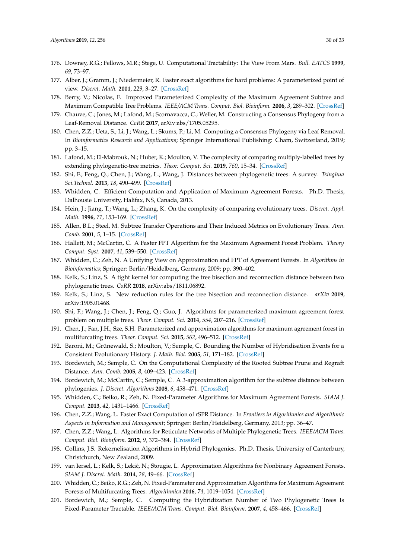- <span id="page-29-0"></span>176. Downey, R.G.; Fellows, M.R.; Stege, U. Computational Tractability: The View From Mars. *Bull. EATCS* **1999**, *69*, 73–97.
- 177. Alber, J.; Gramm, J.; Niedermeier, R. Faster exact algorithms for hard problems: A parameterized point of view. *Discret. Math.* **2001**, *229*, 3–27. [\[CrossRef\]](http://dx.doi.org/10.1016/S0012-365X(00)00199-0)
- <span id="page-29-1"></span>178. Berry, V.; Nicolas, F. Improved Parameterized Complexity of the Maximum Agreement Subtree and Maximum Compatible Tree Problems. *IEEE/ACM Trans. Comput. Biol. Bioinform.* **2006**, *3*, 289–302. [\[CrossRef\]](http://dx.doi.org/10.1109/TCBB.2006.39)
- <span id="page-29-2"></span>179. Chauve, C.; Jones, M.; Lafond, M.; Scornavacca, C.; Weller, M. Constructing a Consensus Phylogeny from a Leaf-Removal Distance. *CoRR* **2017**, arXiv:abs/1705.05295.
- <span id="page-29-3"></span>180. Chen, Z.Z.; Ueta, S.; Li, J.; Wang, L.; Skums, P.; Li, M. Computing a Consensus Phylogeny via Leaf Removal. In *Bioinformatics Research and Applications*; Springer International Publishing: Cham, Switzerland, 2019; pp. 3–15.
- <span id="page-29-4"></span>181. Lafond, M.; El-Mabrouk, N.; Huber, K.; Moulton, V. The complexity of comparing multiply-labelled trees by extending phylogenetic-tree metrics. *Theor. Comput. Sci.* **2019**, *760*, 15–34. [\[CrossRef\]](http://dx.doi.org/10.1016/j.tcs.2018.08.006)
- <span id="page-29-5"></span>182. Shi, F.; Feng, Q.; Chen, J.; Wang, L.; Wang, J. Distances between phylogenetic trees: A survey. *Tsinghua Sci.Technol.* **2013**, *18*, 490–499. [\[CrossRef\]](http://dx.doi.org/10.1109/TST.2013.6616522)
- <span id="page-29-6"></span>183. Whidden, C. Efficient Computation and Application of Maximum Agreement Forests. Ph.D. Thesis, Dalhousie University, Halifax, NS, Canada, 2013.
- <span id="page-29-7"></span>184. Hein, J.; Jiang, T.; Wang, L.; Zhang, K. On the complexity of comparing evolutionary trees. *Discret. Appl. Math.* **1996**, *71*, 153–169. [\[CrossRef\]](http://dx.doi.org/10.1016/S0166-218X(96)00062-5)
- <span id="page-29-8"></span>185. Allen, B.L.; Steel, M. Subtree Transfer Operations and Their Induced Metrics on Evolutionary Trees. *Ann. Comb.* **2001**, *5*, 1–15. [\[CrossRef\]](http://dx.doi.org/10.1007/s00026-001-8006-8)
- <span id="page-29-9"></span>186. Hallett, M.; McCartin, C. A Faster FPT Algorithm for the Maximum Agreement Forest Problem. *Theory Comput. Syst.* **2007**, *41*, 539–550. [\[CrossRef\]](http://dx.doi.org/10.1007/s00224-007-1329-z)
- <span id="page-29-10"></span>187. Whidden, C.; Zeh, N. A Unifying View on Approximation and FPT of Agreement Forests. In *Algorithms in Bioinformatics*; Springer: Berlin/Heidelberg, Germany, 2009; pp. 390–402.
- <span id="page-29-11"></span>188. Kelk, S.; Linz, S. A tight kernel for computing the tree bisection and reconnection distance between two phylogenetic trees. *CoRR* **2018**, arXiv:abs/1811.06892.
- <span id="page-29-12"></span>189. Kelk, S.; Linz, S. New reduction rules for the tree bisection and reconnection distance. *arXiv* **2019**, arXiv:1905.01468.
- <span id="page-29-13"></span>190. Shi, F.; Wang, J.; Chen, J.; Feng, Q.; Guo, J. Algorithms for parameterized maximum agreement forest problem on multiple trees. *Theor. Comput. Sci.* **2014**, *554*, 207–216. [\[CrossRef\]](http://dx.doi.org/10.1016/j.tcs.2013.12.025)
- <span id="page-29-14"></span>191. Chen, J.; Fan, J.H.; Sze, S.H. Parameterized and approximation algorithms for maximum agreement forest in multifurcating trees. *Theor. Comput. Sci.* **2015**, *562*, 496–512. [\[CrossRef\]](http://dx.doi.org/10.1016/j.tcs.2014.10.031)
- <span id="page-29-15"></span>192. Baroni, M.; Grünewald, S.; Moulton, V.; Semple, C. Bounding the Number of Hybridisation Events for a Consistent Evolutionary History. *J. Math. Biol.* **2005**, *51*, 171–182. [\[CrossRef\]](http://dx.doi.org/10.1007/s00285-005-0315-9)
- <span id="page-29-16"></span>193. Bordewich, M.; Semple, C. On the Computational Complexity of the Rooted Subtree Prune and Regraft Distance. *Ann. Comb.* **2005**, *8*, 409–423. [\[CrossRef\]](http://dx.doi.org/10.1007/s00026-004-0229-z)
- <span id="page-29-17"></span>194. Bordewich, M.; McCartin, C.; Semple, C. A 3-approximation algorithm for the subtree distance between phylogenies. *J. Discret. Algorithms* **2008**, *6*, 458–471. [\[CrossRef\]](http://dx.doi.org/10.1016/j.jda.2007.10.002)
- <span id="page-29-18"></span>195. Whidden, C.; Beiko, R.; Zeh, N. Fixed-Parameter Algorithms for Maximum Agreement Forests. *SIAM J. Comput.* **2013**, *42*, 1431–1466. [\[CrossRef\]](http://dx.doi.org/10.1137/110845045)
- <span id="page-29-19"></span>196. Chen, Z.Z.; Wang, L. Faster Exact Computation of rSPR Distance. In *Frontiers in Algorithmics and Algorithmic Aspects in Information and Management*; Springer: Berlin/Heidelberg, Germany, 2013; pp. 36–47.
- <span id="page-29-20"></span>197. Chen, Z.Z.; Wang, L. Algorithms for Reticulate Networks of Multiple Phylogenetic Trees. *IEEE/ACM Trans. Comput. Biol. Bioinform.* **2012**, *9*, 372–384. [\[CrossRef\]](http://dx.doi.org/10.1109/TCBB.2011.137)
- <span id="page-29-21"></span>198. Collins, J.S. Rekernelisation Algorithms in Hybrid Phylogenies. Ph.D. Thesis, University of Canterbury, Christchurch, New Zealand, 2009.
- <span id="page-29-22"></span>199. van Iersel, L.; Kelk, S.; Lekić, N.; Stougie, L. Approximation Algorithms for Nonbinary Agreement Forests. *SIAM J. Discret. Math.* **2014**, *28*, 49–66. [\[CrossRef\]](http://dx.doi.org/10.1137/120903567)
- <span id="page-29-23"></span>200. Whidden, C.; Beiko, R.G.; Zeh, N. Fixed-Parameter and Approximation Algorithms for Maximum Agreement Forests of Multifurcating Trees. *Algorithmica* **2016**, *74*, 1019–1054. [\[CrossRef\]](http://dx.doi.org/10.1007/s00453-015-9983-z)
- <span id="page-29-24"></span>201. Bordewich, M.; Semple, C. Computing the Hybridization Number of Two Phylogenetic Trees Is Fixed-Parameter Tractable. *IEEE/ACM Trans. Comput. Biol. Bioinform.* **2007**, *4*, 458–466. [\[CrossRef\]](http://dx.doi.org/10.1109/tcbb.2007.1019)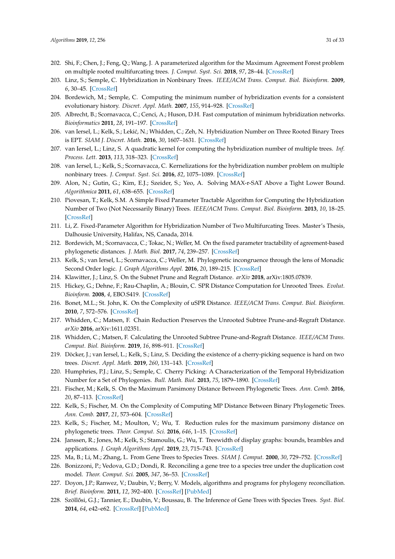- <span id="page-30-0"></span>202. Shi, F.; Chen, J.; Feng, Q.; Wang, J. A parameterized algorithm for the Maximum Agreement Forest problem on multiple rooted multifurcating trees. *J. Comput. Syst. Sci.* **2018**, *97*, 28–44. [\[CrossRef\]](http://dx.doi.org/10.1016/j.jcss.2018.03.002)
- <span id="page-30-1"></span>203. Linz, S.; Semple, C. Hybridization in Nonbinary Trees. *IEEE/ACM Trans. Comput. Biol. Bioinform.* **2009**, *6*, 30–45. [\[CrossRef\]](http://dx.doi.org/10.1109/TCBB.2008.86)
- <span id="page-30-2"></span>204. Bordewich, M.; Semple, C. Computing the minimum number of hybridization events for a consistent evolutionary history. *Discret. Appl. Math.* **2007**, *155*, 914–928. [\[CrossRef\]](http://dx.doi.org/10.1016/j.dam.2006.08.008)
- <span id="page-30-3"></span>205. Albrecht, B.; Scornavacca, C.; Cenci, A.; Huson, D.H. Fast computation of minimum hybridization networks. *Bioinformatics* **2011**, *28*, 191–197. [\[CrossRef\]](http://dx.doi.org/10.1093/bioinformatics/btr618)
- <span id="page-30-4"></span>206. van Iersel, L.; Kelk, S.; Lekić, N.; Whidden, C.; Zeh, N. Hybridization Number on Three Rooted Binary Trees is EPT. *SIAM J. Discret. Math.* **2016**, *30*, 1607–1631. [\[CrossRef\]](http://dx.doi.org/10.1137/15M1036579)
- <span id="page-30-5"></span>207. van Iersel, L.; Linz, S. A quadratic kernel for computing the hybridization number of multiple trees. *Inf. Process. Lett.* **2013**, *113*, 318–323. [\[CrossRef\]](http://dx.doi.org/10.1016/j.ipl.2013.02.010)
- <span id="page-30-6"></span>208. van Iersel, L.; Kelk, S.; Scornavacca, C. Kernelizations for the hybridization number problem on multiple nonbinary trees. *J. Comput. Syst. Sci.* **2016**, *82*, 1075–1089. [\[CrossRef\]](http://dx.doi.org/10.1016/j.jcss.2016.03.006)
- <span id="page-30-7"></span>209. Alon, N.; Gutin, G.; Kim, E.J.; Szeider, S.; Yeo, A. Solving MAX-r-SAT Above a Tight Lower Bound. *Algorithmica* **2011**, *61*, 638–655. [\[CrossRef\]](http://dx.doi.org/10.1007/s00453-010-9428-7)
- <span id="page-30-8"></span>210. Piovesan, T.; Kelk, S.M. A Simple Fixed Parameter Tractable Algorithm for Computing the Hybridization Number of Two (Not Necessarily Binary) Trees. *IEEE/ACM Trans. Comput. Biol. Bioinform.* **2013**, *10*, 18–25. [\[CrossRef\]](http://dx.doi.org/10.1109/TCBB.2012.134)
- <span id="page-30-9"></span>211. Li, Z. Fixed-Parameter Algorithm for Hybridization Number of Two Multifurcating Trees. Master's Thesis, Dalhousie University, Halifax, NS, Canada, 2014.
- <span id="page-30-10"></span>212. Bordewich, M.; Scornavacca, C.; Tokac, N.; Weller, M. On the fixed parameter tractability of agreement-based phylogenetic distances. *J. Math. Biol.* **2017**, *74*, 239–257. [\[CrossRef\]](http://dx.doi.org/10.1007/s00285-016-1023-3)
- <span id="page-30-11"></span>213. Kelk, S.; van Iersel, L.; Scornavacca, C.; Weller, M. Phylogenetic incongruence through the lens of Monadic Second Order logic. *J. Graph Algorithms Appl.* **2016**, *20*, 189–215. [\[CrossRef\]](http://dx.doi.org/10.7155/jgaa.00390)
- <span id="page-30-12"></span>214. Klawitter, J.; Linz, S. On the Subnet Prune and Regraft Distance. *arXiv* **2018**, arXiv:1805.07839.
- <span id="page-30-13"></span>215. Hickey, G.; Dehne, F.; Rau-Chaplin, A.; Blouin, C. SPR Distance Computation for Unrooted Trees. *Evolut. Bioinform.* **2008**, *4*, EBO.S419. [\[CrossRef\]](http://dx.doi.org/10.4137/EBO.S419)
- <span id="page-30-14"></span>216. Bonet, M.L.; St. John, K. On the Complexity of uSPR Distance. *IEEE/ACM Trans. Comput. Biol. Bioinform.* **2010**, *7*, 572–576. [\[CrossRef\]](http://dx.doi.org/10.1109/TCBB.2008.132)
- <span id="page-30-15"></span>217. Whidden, C.; Matsen, F. Chain Reduction Preserves the Unrooted Subtree Prune-and-Regraft Distance. *arXiv* **2016**, arXiv:1611.02351.
- <span id="page-30-16"></span>218. Whidden, C.; Matsen, F. Calculating the Unrooted Subtree Prune-and-Regraft Distance. *IEEE/ACM Trans. Comput. Biol. Bioinform.* **2019**, *16*, 898–911. [\[CrossRef\]](http://dx.doi.org/10.1109/TCBB.2018.2802911)
- <span id="page-30-17"></span>219. Döcker, J.; van Iersel, L.; Kelk, S.; Linz, S. Deciding the existence of a cherry-picking sequence is hard on two trees. *Discret. Appl. Math.* **2019**, *260*, 131–143. [\[CrossRef\]](http://dx.doi.org/10.1016/j.dam.2019.01.031)
- <span id="page-30-18"></span>220. Humphries, P.J.; Linz, S.; Semple, C. Cherry Picking: A Characterization of the Temporal Hybridization Number for a Set of Phylogenies. *Bull. Math. Biol.* **2013**, *75*, 1879–1890. [\[CrossRef\]](http://dx.doi.org/10.1007/s11538-013-9874-x)
- <span id="page-30-19"></span>221. Fischer, M.; Kelk, S. On the Maximum Parsimony Distance Between Phylogenetic Trees. *Ann. Comb.* **2016**, *20*, 87–113. [\[CrossRef\]](http://dx.doi.org/10.1007/s00026-015-0298-1)
- <span id="page-30-20"></span>222. Kelk, S.; Fischer, M. On the Complexity of Computing MP Distance Between Binary Phylogenetic Trees. *Ann. Comb.* **2017**, *21*, 573–604. [\[CrossRef\]](http://dx.doi.org/10.1007/s00026-017-0361-1)
- <span id="page-30-21"></span>223. Kelk, S.; Fischer, M.; Moulton, V.; Wu, T. Reduction rules for the maximum parsimony distance on phylogenetic trees. *Theor. Comput. Sci.* **2016**, *646*, 1–15. [\[CrossRef\]](http://dx.doi.org/10.1016/j.tcs.2016.07.010)
- <span id="page-30-22"></span>224. Janssen, R.; Jones, M.; Kelk, S.; Stamoulis, G.; Wu, T. Treewidth of display graphs: bounds, brambles and applications. *J. Graph Algorithms Appl.* **2019**, *23*, 715–743. [\[CrossRef\]](http://dx.doi.org/10.7155/jgaa.00508)
- <span id="page-30-23"></span>225. Ma, B.; Li, M.; Zhang, L. From Gene Trees to Species Trees. *SIAM J. Comput.* **2000**, *30*, 729–752. [\[CrossRef\]](http://dx.doi.org/10.1137/S0097539798343362)
- <span id="page-30-24"></span>226. Bonizzoni, P.; Vedova, G.D.; Dondi, R. Reconciling a gene tree to a species tree under the duplication cost model. *Theor. Comput. Sci.* **2005**, *347*, 36–53. [\[CrossRef\]](http://dx.doi.org/10.1016/j.tcs.2005.05.016)
- <span id="page-30-25"></span>227. Doyon, J.P.; Ranwez, V.; Daubin, V.; Berry, V. Models, algorithms and programs for phylogeny reconciliation. *Brief. Bioinform.* **2011**, *12*, 392–400. [\[CrossRef\]](http://dx.doi.org/10.1093/bib/bbr045) [\[PubMed\]](http://www.ncbi.nlm.nih.gov/pubmed/21949266)
- 228. Szöllősi, G.J.; Tannier, E.; Daubin, V.; Boussau, B. The Inference of Gene Trees with Species Trees. *Syst. Biol.* **2014**, *64*, e42–e62. [\[CrossRef\]](http://dx.doi.org/10.1093/sysbio/syu048) [\[PubMed\]](http://www.ncbi.nlm.nih.gov/pubmed/25070970)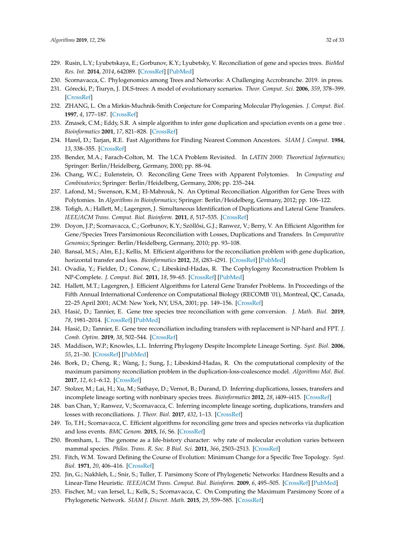- 229. Rusin, L.Y.; Lyubetskaya, E.; Gorbunov, K.Y.; Lyubetsky, V. Reconciliation of gene and species trees. *BioMed Res. Int.* **2014**, *2014*, 642089. [\[CrossRef\]](http://dx.doi.org/10.1155/2014/642089) [\[PubMed\]](http://www.ncbi.nlm.nih.gov/pubmed/24800245)
- <span id="page-31-0"></span>230. Scornavacca, C. Phylogenomics among Trees and Networks: A Challenging Accrobranche. 2019. in press.
- <span id="page-31-1"></span>231. Górecki, P.; Tiuryn, J. DLS-trees: A model of evolutionary scenarios. *Theor. Comput. Sci.* **2006**, *359*, 378–399. [\[CrossRef\]](http://dx.doi.org/10.1016/j.tcs.2006.05.019)
- <span id="page-31-2"></span>232. ZHANG, L. On a Mirkin-Muchnik-Smith Conjecture for Comparing Molecular Phylogenies. *J. Comput. Biol.* **1997**, *4*, 177–187. [\[CrossRef\]](http://dx.doi.org/10.1089/cmb.1997.4.177)
- <span id="page-31-3"></span>233. Zmasek, C.M.; Eddy, S.R. A simple algorithm to infer gene duplication and speciation events on a gene tree . *Bioinformatics* **2001**, *17*, 821–828. [\[CrossRef\]](http://dx.doi.org/10.1093/bioinformatics/17.9.821)
- <span id="page-31-4"></span>234. Harel, D.; Tarjan, R.E. Fast Algorithms for Finding Nearest Common Ancestors. *SIAM J. Comput.* **1984**, *13*, 338–355. [\[CrossRef\]](http://dx.doi.org/10.1137/0213024)
- <span id="page-31-5"></span>235. Bender, M.A.; Farach-Colton, M. The LCA Problem Revisited. In *LATIN 2000: Theoretical Informatics*; Springer: Berlin/Heidelberg, Germany, 2000; pp. 88–94.
- <span id="page-31-6"></span>236. Chang, W.C.; Eulenstein, O. Reconciling Gene Trees with Apparent Polytomies. In *Computing and Combinatorics*; Springer: Berlin/Heidelberg, Germany, 2006; pp. 235–244.
- <span id="page-31-7"></span>237. Lafond, M.; Swenson, K.M.; El-Mabrouk, N. An Optimal Reconciliation Algorithm for Gene Trees with Polytomies. In *Algorithms in Bioinformatics*; Springer: Berlin/Heidelberg, Germany, 2012; pp. 106–122.
- <span id="page-31-8"></span>238. Tofigh, A.; Hallett, M.; Lagergren, J. Simultaneous Identification of Duplications and Lateral Gene Transfers. *IEEE/ACM Trans. Comput. Biol. Bioinform.* **2011**, *8*, 517–535. [\[CrossRef\]](http://dx.doi.org/10.1109/TCBB.2010.14)
- 239. Doyon, J.P.; Scornavacca, C.; Gorbunov, K.Y.; Szöllősi, G.J.; Ranwez, V.; Berry, V. An Efficient Algorithm for Gene/Species Trees Parsimonious Reconciliation with Losses, Duplications and Transfers. In *Comparative Genomics*; Springer: Berlin/Heidelberg, Germany, 2010; pp. 93–108.
- <span id="page-31-9"></span>240. Bansal, M.S.; Alm, E.J.; Kellis, M. Efficient algorithms for the reconciliation problem with gene duplication, horizontal transfer and loss. *Bioinformatics* **2012**, *28*, i283–i291. [\[CrossRef\]](http://dx.doi.org/10.1093/bioinformatics/bts225) [\[PubMed\]](http://www.ncbi.nlm.nih.gov/pubmed/22689773)
- <span id="page-31-10"></span>241. Ovadia, Y.; Fielder, D.; Conow, C.; Libeskind-Hadas, R. The Cophylogeny Reconstruction Problem Is NP-Complete. *J. Comput. Biol.* **2011**, *18*, 59–65. [\[CrossRef\]](http://dx.doi.org/10.1089/cmb.2009.0240) [\[PubMed\]](http://www.ncbi.nlm.nih.gov/pubmed/20715926)
- <span id="page-31-11"></span>242. Hallett, M.T.; Lagergren, J. Efficient Algorithms for Lateral Gene Transfer Problems. In Proceedings of the Fifth Annual International Conference on Computational Biology (RECOMB '01), Montreal, QC, Canada, 22–25 April 2001; ACM: New York, NY, USA, 2001; pp. 149–156. [\[CrossRef\]](http://dx.doi.org/10.1145/369133.369188)
- <span id="page-31-12"></span>243. Hasi´c, D.; Tannier, E. Gene tree species tree reconciliation with gene conversion. *J. Math. Biol.* **2019**, *78*, 1981–2014. [\[CrossRef\]](http://dx.doi.org/10.1007/s00285-019-01331-w) [\[PubMed\]](http://www.ncbi.nlm.nih.gov/pubmed/30767052)
- <span id="page-31-13"></span>244. Hasić, D.; Tannier, E. Gene tree reconciliation including transfers with replacement is NP-hard and FPT. *J. Comb. Optim.* **2019**, *38*, 502–544. [\[CrossRef\]](http://dx.doi.org/10.1007/s10878-019-00396-z)
- <span id="page-31-14"></span>245. Maddison, W.P.; Knowles, L.L. Inferring Phylogeny Despite Incomplete Lineage Sorting. *Syst. Biol.* **2006**, *55*, 21–30. [\[CrossRef\]](http://dx.doi.org/10.1080/10635150500354928) [\[PubMed\]](http://www.ncbi.nlm.nih.gov/pubmed/16507521)
- <span id="page-31-15"></span>246. Bork, D.; Cheng, R.; Wang, J.; Sung, J.; Libeskind-Hadas, R. On the computational complexity of the maximum parsimony reconciliation problem in the duplication-loss-coalescence model. *Algorithms Mol. Biol.* **2017**, *12*, 6:1–6:12. [\[CrossRef\]](http://dx.doi.org/10.1186/s13015-017-0098-8)
- <span id="page-31-16"></span>247. Stolzer, M.; Lai, H.; Xu, M.; Sathaye, D.; Vernot, B.; Durand, D. Inferring duplications, losses, transfers and incomplete lineage sorting with nonbinary species trees. *Bioinformatics* **2012**, *28*, i409–i415. [\[CrossRef\]](http://dx.doi.org/10.1093/bioinformatics/bts386)
- <span id="page-31-17"></span>248. ban Chan, Y.; Ranwez, V.; Scornavacca, C. Inferring incomplete lineage sorting, duplications, transfers and losses with reconciliations. *J. Theor. Biol.* **2017**, *432*, 1–13. [\[CrossRef\]](http://dx.doi.org/10.1016/j.jtbi.2017.08.008)
- <span id="page-31-18"></span>249. To, T.H.; Scornavacca, C. Efficient algorithms for reconciling gene trees and species networks via duplication and loss events. *BMC Genom.* **2015**, *16*, S6. [\[CrossRef\]](http://dx.doi.org/10.1186/1471-2164-16-S10-S6)
- <span id="page-31-19"></span>250. Bromham, L. The genome as a life-history character: why rate of molecular evolution varies between mammal species. *Philos. Trans. R. Soc. B Biol. Sci.* **2011**, *366*, 2503–2513. [\[CrossRef\]](http://dx.doi.org/10.1098/rstb.2011.0014)
- <span id="page-31-20"></span>251. Fitch, W.M. Toward Defining the Course of Evolution: Minimum Change for a Specific Tree Topology. *Syst. Biol.* **1971**, *20*, 406–416. [\[CrossRef\]](http://dx.doi.org/10.1093/sysbio/20.4.406)
- <span id="page-31-21"></span>252. Jin, G.; Nakhleh, L.; Snir, S.; Tuller, T. Parsimony Score of Phylogenetic Networks: Hardness Results and a Linear-Time Heuristic. *IEEE/ACM Trans. Comput. Biol. Bioinform.* **2009**, *6*, 495–505. [\[CrossRef\]](http://dx.doi.org/10.1109/TCBB.2008.119) [\[PubMed\]](http://www.ncbi.nlm.nih.gov/pubmed/19644176)
- <span id="page-31-22"></span>253. Fischer, M.; van Iersel, L.; Kelk, S.; Scornavacca, C. On Computing the Maximum Parsimony Score of a Phylogenetic Network. *SIAM J. Discret. Math.* **2015**, *29*, 559–585. [\[CrossRef\]](http://dx.doi.org/10.1137/140959948)